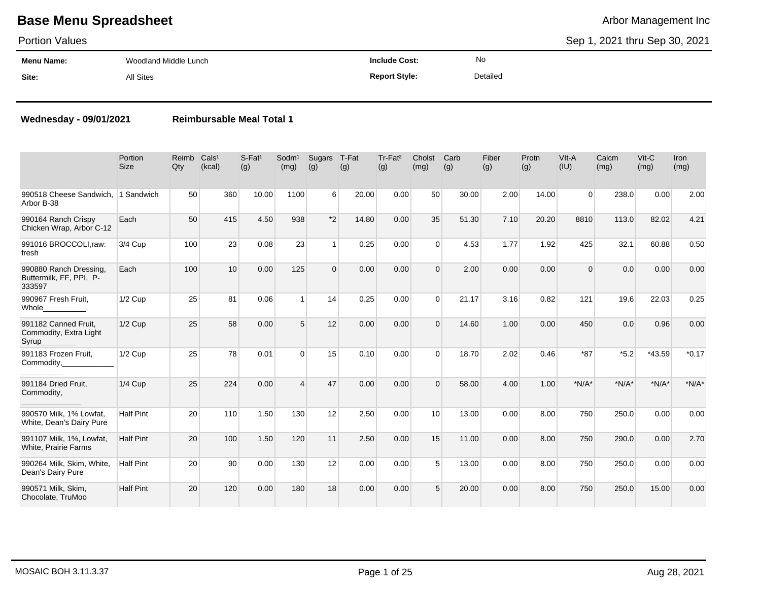### Portion Values

Sep 1, 2021 thru Sep 30, 2021

| Menu Name: | Woodland Middle Lunch | Include Cost:        | No       |
|------------|-----------------------|----------------------|----------|
| Site:      | All Sites             | <b>Report Style:</b> | Detailed |

### **Wednesday - 09/01/2021 Reimbursable Meal Total 1**

|                                                             | Portion<br><b>Size</b> | Reimb<br>Qty | Cals <sup>1</sup><br>(kcal) | $S$ -Fat <sup>1</sup><br>(g) | Sodm <sup>1</sup><br>(mg) | Sugars<br>(g) | T-Fat<br>(g) | Tr-Fat <sup>2</sup><br>(g) | Cholst<br>(mg) | Carb<br>(g) | Fiber<br>(g) | Protn<br>(g) | VIt-A<br>(IU) | Calcm<br>(mg) | Vit-C<br>(mg) | Iron<br>(mg) |
|-------------------------------------------------------------|------------------------|--------------|-----------------------------|------------------------------|---------------------------|---------------|--------------|----------------------------|----------------|-------------|--------------|--------------|---------------|---------------|---------------|--------------|
| 990518 Cheese Sandwich, 1 Sandwich<br>Arbor B-38            |                        | 50           | 360                         | 10.00                        | 1100                      | 6             | 20.00        | 0.00                       | 50             | 30.00       | 2.00         | 14.00        | $\Omega$      | 238.0         | 0.00          | 2.00         |
| 990164 Ranch Crispy<br>Chicken Wrap, Arbor C-12             | Each                   | 50           | 415                         | 4.50                         | 938                       | $*2$          | 14.80        | 0.00                       | 35             | 51.30       | 7.10         | 20.20        | 8810          | 113.0         | 82.02         | 4.21         |
| 991016 BROCCOLI,raw:<br>fresh                               | 3/4 Cup                | 100          | 23                          | 0.08                         | 23                        | $\mathbf{1}$  | 0.25         | 0.00                       | $\Omega$       | 4.53        | 1.77         | 1.92         | 425           | 32.1          | 60.88         | 0.50         |
| 990880 Ranch Dressing,<br>Buttermilk, FF, PPI, P-<br>333597 | Each                   | 100          | 10                          | 0.00                         | 125                       | $\Omega$      | 0.00         | 0.00                       | $\Omega$       | 2.00        | 0.00         | 0.00         | $\Omega$      | 0.0           | 0.00          | 0.00         |
| 990967 Fresh Fruit,<br>Whole_                               | $1/2$ Cup              | 25           | 81                          | 0.06                         | $\overline{1}$            | 14            | 0.25         | 0.00                       | $\Omega$       | 21.17       | 3.16         | 0.82         | 121           | 19.6          | 22.03         | 0.25         |
| 991182 Canned Fruit,<br>Commodity, Extra Light<br>Syrup     | $1/2$ Cup              | 25           | 58                          | 0.00                         | $\overline{5}$            | 12            | 0.00         | 0.00                       | $\Omega$       | 14.60       | 1.00         | 0.00         | 450           | 0.0           | 0.96          | 0.00         |
| 991183 Frozen Fruit.<br>Commodity,                          | $1/2$ Cup              | 25           | 78                          | 0.01                         | $\Omega$                  | 15            | 0.10         | 0.00                       | $\Omega$       | 18.70       | 2.02         | 0.46         | $*87$         | $*5.2$        | *43.59        | $*0.17$      |
| 991184 Dried Fruit,<br>Commodity,                           | 1/4 Cup                | 25           | 224                         | 0.00                         | $\Delta$                  | 47            | 0.00         | 0.00                       | $\Omega$       | 58.00       | 4.00         | 1.00         | $*N/A*$       | $*N/A*$       | $*N/A*$       | $*N/A*$      |
| 990570 Milk, 1% Lowfat,<br>White, Dean's Dairy Pure         | <b>Half Pint</b>       | 20           | 110                         | 1.50                         | 130                       | 12            | 2.50         | 0.00                       | 10             | 13.00       | 0.00         | 8.00         | 750           | 250.0         | 0.00          | 0.00         |
| 991107 Milk, 1%, Lowfat,<br>White, Prairie Farms            | <b>Half Pint</b>       | 20           | 100                         | 1.50                         | 120                       | 11            | 2.50         | 0.00                       | 15             | 11.00       | 0.00         | 8.00         | 750           | 290.0         | 0.00          | 2.70         |
| 990264 Milk, Skim, White,<br>Dean's Dairy Pure              | <b>Half Pint</b>       | 20           | 90                          | 0.00                         | 130                       | 12            | 0.00         | 0.00                       | 5              | 13.00       | 0.00         | 8.00         | 750           | 250.0         | 0.00          | 0.00         |
| 990571 Milk, Skim,<br>Chocolate, TruMoo                     | <b>Half Pint</b>       | 20           | 120                         | 0.00                         | 180                       | 18            | 0.00         | 0.00                       | 5              | 20.00       | 0.00         | 8.00         | 750           | 250.0         | 15.00         | 0.00         |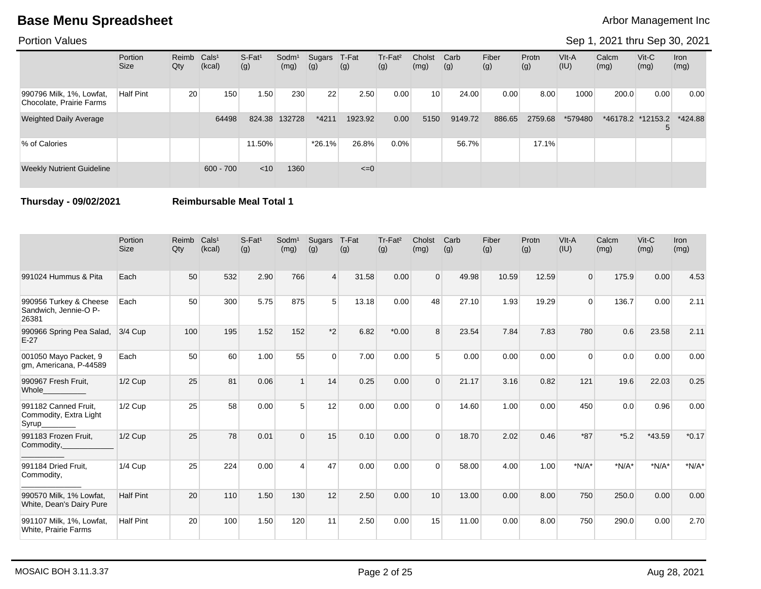### Portion Values

### Sep 1, 2021 thru Sep 30, 2021

|                                                      | Portion<br>Size  | Reimb Cals <sup>1</sup><br>Qty | (kcal)      | $S-Fat1$<br>(g) | Sodm <sup>1</sup><br>(mg) | Sugars<br>(g) | T-Fat<br>(g) | Tr-Fat <sup>2</sup><br>(g) | Cholst<br>(mg)  | Carb<br>(g) | Fiber<br>(g) | Protn<br>(g) | VIt-A<br>(IU) | Calcm<br>(mg) | $V$ it-C<br>(mg)  | Iron<br>(mg) |
|------------------------------------------------------|------------------|--------------------------------|-------------|-----------------|---------------------------|---------------|--------------|----------------------------|-----------------|-------------|--------------|--------------|---------------|---------------|-------------------|--------------|
| 990796 Milk, 1%, Lowfat,<br>Chocolate, Prairie Farms | <b>Half Pint</b> | 20                             | 150         | 1.50            | 230                       | 22            | 2.50         | 0.00                       | 10 <sup>1</sup> | 24.00       | 0.00         | 8.00         | 1000          | 200.0         | 0.00              | 0.00         |
| <b>Weighted Daily Average</b>                        |                  |                                | 64498       | 824.38          | 132728                    | $*4211$       | 1923.92      | 0.00                       | 5150            | 9149.72     | 886.65       | 2759.68      | *579480       |               | *46178.2 *12153.2 | *424.88      |
| % of Calories                                        |                  |                                |             | 11.50%          |                           | $*26.1\%$     | 26.8%        | $0.0\%$                    |                 | 56.7%       |              | 17.1%        |               |               |                   |              |
| <b>Weekly Nutrient Guideline</b>                     |                  |                                | $600 - 700$ | $<$ 10          | 1360                      |               | $\leq=0$     |                            |                 |             |              |              |               |               |                   |              |

**Thursday - 09/02/2021 Reimbursable Meal Total 1**

|                                                          | Portion<br><b>Size</b> | Reimb<br>Qty | Cals <sup>1</sup><br>(kcal) | $S-Fat1$<br>(g) | Sodm <sup>1</sup><br>(mg) | Sugars<br>(g) | T-Fat<br>(g) | Tr-Fat <sup>2</sup><br>(g) | Cholst<br>(mg) | Carb<br>(g) | Fiber<br>(g) | Protn<br>(g) | VIt-A<br>(IU) | Calcm<br>(mg) | Vit-C<br>(mg) | <b>Iron</b><br>(mg) |
|----------------------------------------------------------|------------------------|--------------|-----------------------------|-----------------|---------------------------|---------------|--------------|----------------------------|----------------|-------------|--------------|--------------|---------------|---------------|---------------|---------------------|
| 991024 Hummus & Pita                                     | Each                   | 50           | 532                         | 2.90            | 766                       | 4             | 31.58        | 0.00                       | $\Omega$       | 49.98       | 10.59        | 12.59        | $\Omega$      | 175.9         | 0.00          | 4.53                |
| 990956 Turkey & Cheese<br>Sandwich, Jennie-O P-<br>26381 | Each                   | 50           | 300                         | 5.75            | 875                       | 5             | 13.18        | 0.00                       | 48             | 27.10       | 1.93         | 19.29        | $\Omega$      | 136.7         | 0.00          | 2.11                |
| 990966 Spring Pea Salad,<br>$E-27$                       | 3/4 Cup                | 100          | 195                         | 1.52            | 152                       | $*2$          | 6.82         | $*0.00$                    | 8              | 23.54       | 7.84         | 7.83         | 780           | 0.6           | 23.58         | 2.11                |
| 001050 Mayo Packet, 9<br>gm, Americana, P-44589          | Each                   | 50           | 60                          | 1.00            | 55                        | $\Omega$      | 7.00         | 0.00                       | 5              | 0.00        | 0.00         | 0.00         | $\Omega$      | 0.0           | 0.00          | 0.00                |
| 990967 Fresh Fruit,<br>Whole                             | $1/2$ Cup              | 25           | 81                          | 0.06            |                           | 14            | 0.25         | 0.00                       | $\Omega$       | 21.17       | 3.16         | 0.82         | 121           | 19.6          | 22.03         | 0.25                |
| 991182 Canned Fruit,<br>Commodity, Extra Light<br>Syrup_ | $1/2$ Cup              | 25           | 58                          | 0.00            | 5                         | 12            | 0.00         | 0.00                       | $\Omega$       | 14.60       | 1.00         | 0.00         | 450           | 0.0           | 0.96          | 0.00                |
| 991183 Frozen Fruit,<br>Commodity,                       | $1/2$ Cup              | 25           | 78                          | 0.01            | $\Omega$                  | 15            | 0.10         | 0.00                       | $\Omega$       | 18.70       | 2.02         | 0.46         | $*87$         | $*5.2$        | $*43.59$      | $*0.17$             |
| 991184 Dried Fruit,<br>Commodity,                        | $1/4$ Cup              | 25           | 224                         | 0.00            | 4                         | 47            | 0.00         | 0.00                       | $\Omega$       | 58.00       | 4.00         | 1.00         | $*N/A*$       | $*N/A*$       | $*N/A*$       | $*N/A*$             |
| 990570 Milk, 1% Lowfat,<br>White, Dean's Dairy Pure      | <b>Half Pint</b>       | 20           | 110                         | 1.50            | 130                       | 12            | 2.50         | 0.00                       | 10             | 13.00       | 0.00         | 8.00         | 750           | 250.0         | 0.00          | 0.00                |
| 991107 Milk, 1%, Lowfat,<br>White, Prairie Farms         | <b>Half Pint</b>       | 20           | 100                         | 1.50            | 120                       | 11            | 2.50         | 0.00                       | 15             | 11.00       | 0.00         | 8.00         | 750           | 290.0         | 0.00          | 2.70                |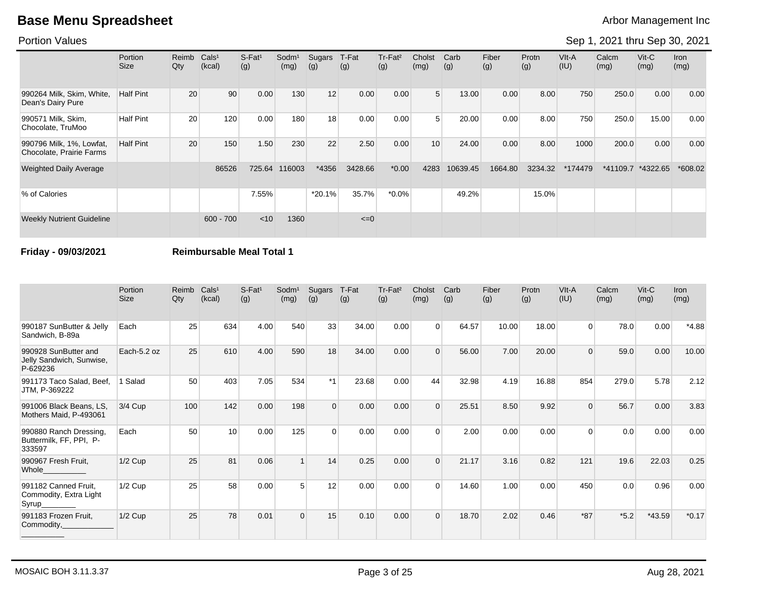### Portion Values

# Sep 1, 2021 thru Sep 30, 2021

|                                                      | <b>Portion</b><br>Size | Reimb<br>Qty | Cals <sup>1</sup><br>(kcal) | S-Fat <sup>1</sup><br>(g) | Sodm <sup>1</sup><br>(mg) | Sugars<br>(g) | T-Fat<br>(g) | Tr-Fat <sup>2</sup><br>(g) | Cholst<br>(mg) | Carb<br>(g) | Fiber<br>(g) | Protn<br>(g) | VIt-A<br>(IU) | Calcm<br>(mg) | $V$ it-C<br>(mg) | Iron<br>(mg) |
|------------------------------------------------------|------------------------|--------------|-----------------------------|---------------------------|---------------------------|---------------|--------------|----------------------------|----------------|-------------|--------------|--------------|---------------|---------------|------------------|--------------|
| 990264 Milk, Skim, White,<br>Dean's Dairy Pure       | <b>Half Pint</b>       | 20           | 90                          | 0.00                      | 130                       | 12            | 0.00         | 0.00                       | 5 <sup>1</sup> | 13.00       | 0.00         | 8.00         | 750           | 250.0         | 0.00             | 0.00         |
| 990571 Milk, Skim,<br>Chocolate, TruMoo              | <b>Half Pint</b>       | 20           | 120                         | 0.00                      | 180                       | 18            | 0.00         | 0.00                       | 5              | 20.00       | 0.00         | 8.00         | 750           | 250.0         | 15.00            | 0.00         |
| 990796 Milk, 1%, Lowfat,<br>Chocolate, Prairie Farms | <b>Half Pint</b>       | 20           | 150                         | 1.50                      | 230                       | 22            | 2.50         | 0.00                       | 10             | 24.00       | 0.00         | 8.00         | 1000          | 200.0         | 0.00             | 0.00         |
| <b>Weighted Daily Average</b>                        |                        |              | 86526                       | 725.64                    | 116003                    | *4356         | 3428.66      | $*0.00*$                   | 4283           | 10639.45    | 1664.80      | 3234.32      | *174479       | *41109.7      | *4322.65         | $*608.02$    |
| % of Calories                                        |                        |              |                             | 7.55%                     |                           | $*20.1%$      | 35.7%        | $*0.0\%$                   |                | 49.2%       |              | 15.0%        |               |               |                  |              |
| <b>Weekly Nutrient Guideline</b>                     |                        |              | $600 - 700$                 | < 10                      | 1360                      |               | $\leq=0$     |                            |                |             |              |              |               |               |                  |              |

### **Friday - 09/03/2021 Reimbursable Meal Total 1**

|                                                              | Portion<br><b>Size</b> | Reimb<br>Qty | Cals <sup>1</sup><br>(kcal) | S-Fat <sup>1</sup><br>(g) | Sodm <sup>1</sup><br>(mg) | Sugars<br>(g) | T-Fat<br>(g) | Tr-Fat <sup>2</sup><br>(g) | Cholst<br>(mg) | Carb<br>(g) | Fiber<br>(g) | Protn<br>(g) | $V$ It-A<br>(IU) | Calcm<br>(mg) | $V$ it-C<br>(mg) | <b>Iron</b><br>(mg) |
|--------------------------------------------------------------|------------------------|--------------|-----------------------------|---------------------------|---------------------------|---------------|--------------|----------------------------|----------------|-------------|--------------|--------------|------------------|---------------|------------------|---------------------|
| 990187 SunButter & Jelly<br>Sandwich, B-89a                  | Each                   | 25           | 634                         | 4.00                      | 540                       | 33            | 34.00        | 0.00                       | $\Omega$       | 64.57       | 10.00        | 18.00        | $\Omega$         | 78.0          | 0.00             | $*4.88$             |
| 990928 SunButter and<br>Jelly Sandwich, Sunwise,<br>P-629236 | Each-5.2 oz            | 25           | 610                         | 4.00                      | 590                       | 18            | 34.00        | 0.00                       | $\Omega$       | 56.00       | 7.00         | 20.00        | $\Omega$         | 59.0          | 0.00             | 10.00               |
| 991173 Taco Salad, Beef,<br>JTM, P-369222                    | 1 Salad                | 50           | 403                         | 7.05                      | 534                       | $*1$          | 23.68        | 0.00                       | 44             | 32.98       | 4.19         | 16.88        | 854              | 279.0         | 5.78             | 2.12                |
| 991006 Black Beans, LS,<br>Mothers Maid, P-493061            | $3/4$ Cup              | 100          | 142                         | 0.00                      | 198                       | $\Omega$      | 0.00         | 0.00                       | $\Omega$       | 25.51       | 8.50         | 9.92         | $\Omega$         | 56.7          | 0.00             | 3.83                |
| 990880 Ranch Dressing,<br>Buttermilk, FF, PPI, P-<br>333597  | Each                   | 50           | 10                          | 0.00                      | 125                       | $\Omega$      | 0.00         | 0.00                       | $\Omega$       | 2.00        | 0.00         | 0.00         | $\Omega$         | 0.0           | 0.00             | 0.00                |
| 990967 Fresh Fruit,<br>Whole                                 | $1/2$ Cup              | 25           | 81                          | 0.06                      |                           | 14            | 0.25         | 0.00                       | $\Omega$       | 21.17       | 3.16         | 0.82         | 121              | 19.6          | 22.03            | 0.25                |
| 991182 Canned Fruit,<br>Commodity, Extra Light<br>Syrup_     | $1/2$ Cup              | 25           | 58                          | 0.00                      | 5                         | 12            | 0.00         | 0.00                       | $\Omega$       | 14.60       | 1.00         | 0.00         | 450              | 0.0           | 0.96             | 0.00                |
| 991183 Frozen Fruit,<br>Commodity,                           | $1/2$ Cup              | 25           | 78                          | 0.01                      | $\Omega$                  | 15            | 0.10         | 0.00                       | $\Omega$       | 18.70       | 2.02         | 0.46         | $*87$            | $*5.2$        | $*43.59$         | $*0.17$             |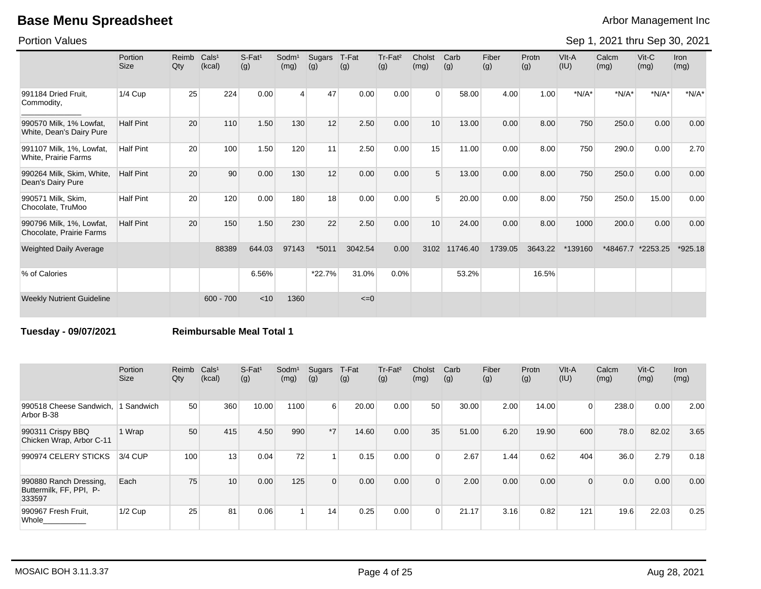Portion Values

Sep 1, 2021 thru Sep 30, 2021

|                                                      | Portion<br><b>Size</b> | Reimb<br>Qty | Cals <sup>1</sup><br>(kcal) | $S-Fat1$<br>(g) | Sodm <sup>1</sup><br>(mg) | Sugars<br>(g) | T-Fat<br>(g) | Tr-Fat <sup>2</sup><br>(g) | Cholst<br>(mg) | Carb<br>(g) | Fiber<br>(g) | Protn<br>(g) | VIt-A<br>(IU) | Calcm<br>(mg) | $V$ it-C<br>(mg) | <b>Iron</b><br>(mg) |
|------------------------------------------------------|------------------------|--------------|-----------------------------|-----------------|---------------------------|---------------|--------------|----------------------------|----------------|-------------|--------------|--------------|---------------|---------------|------------------|---------------------|
| 991184 Dried Fruit.<br>Commodity,                    | 1/4 Cup                | 25           | 224                         | 0.00            | 4                         | 47            | 0.00         | 0.00                       | $\Omega$       | 58.00       | 4.00         | 1.00         | $*N/A*$       | $*N/A*$       | $*N/A*$          | $*N/A*$             |
| 990570 Milk, 1% Lowfat,<br>White, Dean's Dairy Pure  | <b>Half Pint</b>       | 20           | 110                         | 1.50            | 130                       | 12            | 2.50         | 0.00                       | 10             | 13.00       | 0.00         | 8.00         | 750           | 250.0         | 0.00             | 0.00                |
| 991107 Milk, 1%, Lowfat,<br>White, Prairie Farms     | <b>Half Pint</b>       | 20           | 100                         | 1.50            | 120                       | 11            | 2.50         | 0.00                       | 15             | 11.00       | 0.00         | 8.00         | 750           | 290.0         | 0.00             | 2.70                |
| 990264 Milk, Skim, White,<br>Dean's Dairy Pure       | <b>Half Pint</b>       | 20           | 90                          | 0.00            | 130                       | 12            | 0.00         | 0.00                       | 5              | 13.00       | 0.00         | 8.00         | 750           | 250.0         | 0.00             | 0.00                |
| 990571 Milk, Skim,<br>Chocolate, TruMoo              | <b>Half Pint</b>       | 20           | 120                         | 0.00            | 180                       | 18            | 0.00         | 0.00                       | 5              | 20.00       | 0.00         | 8.00         | 750           | 250.0         | 15.00            | 0.00                |
| 990796 Milk, 1%, Lowfat,<br>Chocolate, Prairie Farms | <b>Half Pint</b>       | 20           | 150                         | 1.50            | 230                       | 22            | 2.50         | 0.00                       | 10             | 24.00       | 0.00         | 8.00         | 1000          | 200.0         | 0.00             | 0.00                |
| <b>Weighted Daily Average</b>                        |                        |              | 88389                       | 644.03          | 97143                     | $*5011$       | 3042.54      | 0.00                       | 3102           | 11746.40    | 1739.05      | 3643.22      | *139160       | *48467.7      | *2253.25         | $*925.18$           |
| % of Calories                                        |                        |              |                             | 6.56%           |                           | *22.7%        | 31.0%        | 0.0%                       |                | 53.2%       |              | 16.5%        |               |               |                  |                     |
| <b>Weekly Nutrient Guideline</b>                     |                        |              | $600 - 700$                 | < 10            | 1360                      |               | $\leq=0$     |                            |                |             |              |              |               |               |                  |                     |

**Tuesday - 09/07/2021 Reimbursable Meal Total 1**

|                                                             | Portion<br><b>Size</b> | Reimb<br>Qty | Cals <sup>1</sup><br>(kcal) | $S-Fat1$<br>(g) | Sodm <sup>1</sup><br>(mg) | Sugars<br>(g)    | T-Fat<br>(g) | Tr-Fat <sup>2</sup><br>(g) | Cholst<br>(mg) | Carb<br>(g) | Fiber<br>(g) | Protn<br>(g) | VIt-A<br>(IU)  | Calcm<br>(mg) | $V$ it-C<br>(mg) | Iron<br>(mg) |
|-------------------------------------------------------------|------------------------|--------------|-----------------------------|-----------------|---------------------------|------------------|--------------|----------------------------|----------------|-------------|--------------|--------------|----------------|---------------|------------------|--------------|
| 990518 Cheese Sandwich.<br>Arbor B-38                       | 1 Sandwich             | 50           | 360                         | 10.00           | 1100                      | $6 \overline{6}$ | 20.00        | 0.00                       | 50             | 30.00       | 2.00         | 14.00        | $\overline{0}$ | 238.0         | 0.00             | 2.00         |
| 990311 Crispy BBQ<br>Chicken Wrap, Arbor C-11               | 1 Wrap                 | 50           | 415                         | 4.50            | 990                       | $*7$             | 14.60        | 0.00                       | 35             | 51.00       | 6.20         | 19.90        | 600            | 78.0          | 82.02            | 3.65         |
| 990974 CELERY STICKS                                        | 3/4 CUP                | 100          | 13                          | 0.04            | 72                        |                  | 0.15         | 0.00                       |                | 2.67        | 1.44         | 0.62         | 404            | 36.0          | 2.79             | 0.18         |
| 990880 Ranch Dressing,<br>Buttermilk, FF, PPI, P-<br>333597 | Each                   | 75           | 10                          | 0.00            | 125                       | $\Omega$         | 0.00         | 0.00                       | $\Omega$       | 2.00        | 0.00         | 0.00         | $\Omega$       | 0.0           | 0.00             | 0.00         |
| 990967 Fresh Fruit,<br>Whole                                | $1/2$ Cup              | 25           | 81                          | 0.06            |                           | 14               | 0.25         | 0.00                       | $\Omega$       | 21.17       | 3.16         | 0.82         | 121            | 19.6          | 22.03            | 0.25         |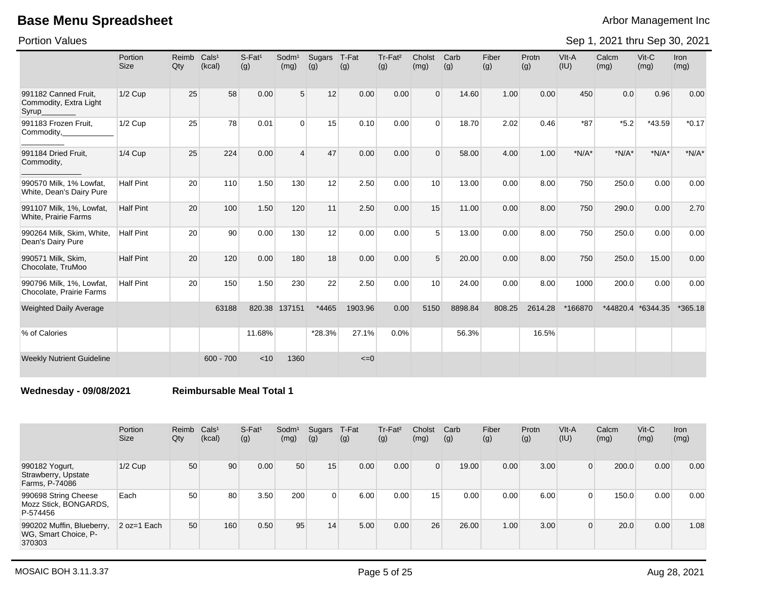Portion Values

Sep 1, 2021 thru Sep 30, 2021

|                                                         | Portion<br><b>Size</b> | Reimb<br>Qty | Cals <sup>1</sup><br>(kcal) | S-Fat <sup>1</sup><br>(g) | Sodm <sup>1</sup><br>(mg) | Sugars<br>(g) | T-Fat<br>(g) | Tr-Fat <sup>2</sup><br>(g) | Cholst<br>(mg)  | Carb<br>(g) | Fiber<br>(g) | Protn<br>(g) | VIt-A<br>(IU) | Calcm<br>(mg) | Vit-C<br>(mg) | <b>Iron</b><br>(mg) |
|---------------------------------------------------------|------------------------|--------------|-----------------------------|---------------------------|---------------------------|---------------|--------------|----------------------------|-----------------|-------------|--------------|--------------|---------------|---------------|---------------|---------------------|
| 991182 Canned Fruit,<br>Commodity, Extra Light<br>Syrup | $1/2$ Cup              | 25           | 58                          | 0.00                      | 5                         | 12            | 0.00         | 0.00                       | $\Omega$        | 14.60       | 1.00         | 0.00         | 450           | 0.0           | 0.96          | 0.00                |
| 991183 Frozen Fruit,<br>Commodity,                      | $1/2$ Cup              | 25           | 78                          | 0.01                      | $\Omega$                  | 15            | 0.10         | 0.00                       | $\Omega$        | 18.70       | 2.02         | 0.46         | $*87$         | $*5.2$        | *43.59        | $*0.17$             |
| 991184 Dried Fruit,<br>Commodity,                       | $1/4$ Cup              | 25           | 224                         | 0.00                      | $\overline{4}$            | 47            | 0.00         | 0.00                       | $\Omega$        | 58.00       | 4.00         | 1.00         | $*N/A*$       | $*N/A*$       | $*N/A*$       | $*N/A*$             |
| 990570 Milk. 1% Lowfat.<br>White, Dean's Dairy Pure     | <b>Half Pint</b>       | 20           | 110                         | 1.50                      | 130                       | 12            | 2.50         | 0.00                       | 10 <sup>1</sup> | 13.00       | 0.00         | 8.00         | 750           | 250.0         | 0.00          | 0.00                |
| 991107 Milk, 1%, Lowfat,<br>White, Prairie Farms        | <b>Half Pint</b>       | 20           | 100                         | 1.50                      | 120                       | 11            | 2.50         | 0.00                       | 15              | 11.00       | 0.00         | 8.00         | 750           | 290.0         | 0.00          | 2.70                |
| 990264 Milk, Skim, White,<br>Dean's Dairy Pure          | <b>Half Pint</b>       | 20           | 90                          | 0.00                      | 130                       | 12            | 0.00         | 0.00                       | 5               | 13.00       | 0.00         | 8.00         | 750           | 250.0         | 0.00          | 0.00                |
| 990571 Milk, Skim,<br>Chocolate, TruMoo                 | <b>Half Pint</b>       | 20           | 120                         | 0.00                      | 180                       | 18            | 0.00         | 0.00                       | 5               | 20.00       | 0.00         | 8.00         | 750           | 250.0         | 15.00         | 0.00                |
| 990796 Milk, 1%, Lowfat,<br>Chocolate, Prairie Farms    | <b>Half Pint</b>       | 20           | 150                         | 1.50                      | 230                       | 22            | 2.50         | 0.00                       | 10 <sup>1</sup> | 24.00       | 0.00         | 8.00         | 1000          | 200.0         | 0.00          | 0.00                |
| <b>Weighted Daily Average</b>                           |                        |              | 63188                       | 820.38                    | 137151                    | *4465         | 1903.96      | 0.00                       | 5150            | 8898.84     | 808.25       | 2614.28      | *166870       | *44820.4      | *6344.35      | $*365.18$           |
| % of Calories                                           |                        |              |                             | 11.68%                    |                           | *28.3%        | 27.1%        | 0.0%                       |                 | 56.3%       |              | 16.5%        |               |               |               |                     |
| <b>Weekly Nutrient Guideline</b>                        |                        |              | $600 - 700$                 | < 10                      | 1360                      |               | $\leq=0$     |                            |                 |             |              |              |               |               |               |                     |

**Wednesday - 09/08/2021 Reimbursable Meal Total 1**

|                                                             | Portion<br><b>Size</b> | Reimb<br>Qty | Cals <sup>1</sup><br>(kcal) | $S$ -Fat <sup>1</sup><br>(g) | Sodm <sup>1</sup><br>(mg) | Sugars<br>(g) | T-Fat<br>(g) | Tr-Fat <sup>2</sup><br>(g) | Cholst<br>(mg) | Carb<br>(g) | Fiber<br>(g) | Protn<br>(g) | VIt-A<br>(IU)  | Calcm<br>(mg) | $V$ it-C<br>(mg) | <b>Iron</b><br>(mg) |
|-------------------------------------------------------------|------------------------|--------------|-----------------------------|------------------------------|---------------------------|---------------|--------------|----------------------------|----------------|-------------|--------------|--------------|----------------|---------------|------------------|---------------------|
| 990182 Yogurt,<br>Strawberry, Upstate<br>Farms, P-74086     | $1/2$ Cup              | 50           | 90                          | 0.00                         | 50                        | 15            | 0.00         | 0.00                       | $\Omega$       | 19.00       | 0.00         | 3.00         | $\overline{0}$ | 200.0         | 0.00             | 0.00                |
| 990698 String Cheese<br>Mozz Stick, BONGARDS,<br>P-574456   | Each                   | 50           | 80                          | 3.50                         | 200                       | $\Omega$      | 6.00         | 0.00                       | 15             | 0.00        | 0.00         | 6.00         | 0              | 150.0         | 0.00             | 0.00                |
| 990202 Muffin, Blueberry,<br>WG, Smart Choice, P-<br>370303 | $2 oz=1 Each$          | 50           | 160                         | 0.50                         | 95                        | 14            | 5.00         | 0.00                       | 26             | 26.00       | 1.00         | 3.00         | 0              | 20.0          | 0.00             | 1.08                |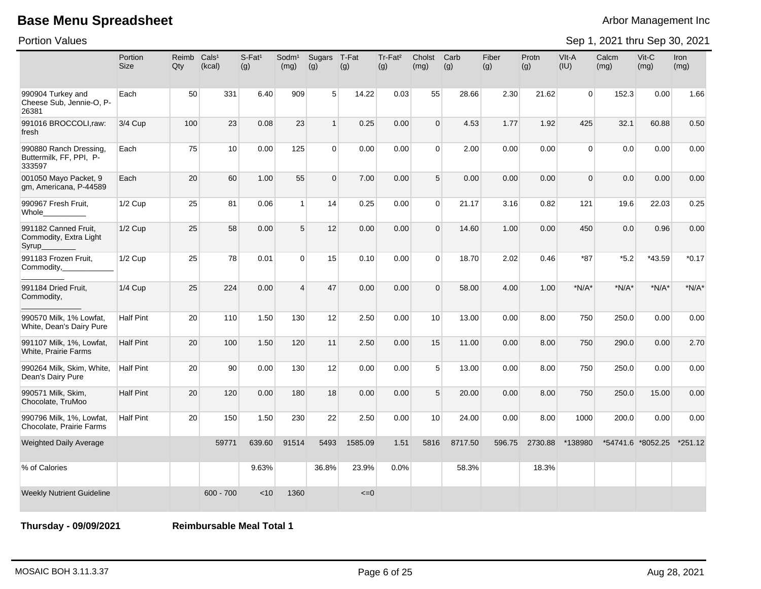Portion Values

Sep 1, 2021 thru Sep 30, 2021

|                                                             | Portion<br><b>Size</b> | Reimb<br>Qty | Cals <sup>1</sup><br>(kcal) | S-Fat <sup>1</sup><br>(g) | Sodm <sup>1</sup><br>(mg) | Sugars<br>(g)  | T-Fat<br>(g) | Tr-Fat <sup>2</sup><br>(g) | Cholst<br>(mg)  | Carb<br>(g) | Fiber<br>(g) | Protn<br>(g) | VIt-A<br>(IU)  | Calcm<br>(mg) | $V$ it-C<br>(mg)  | Iron<br>(mg) |
|-------------------------------------------------------------|------------------------|--------------|-----------------------------|---------------------------|---------------------------|----------------|--------------|----------------------------|-----------------|-------------|--------------|--------------|----------------|---------------|-------------------|--------------|
| 990904 Turkey and<br>Cheese Sub, Jennie-O, P-<br>26381      | Each                   | 50           | 331                         | 6.40                      | 909                       | 5 <sup>1</sup> | 14.22        | 0.03                       | 55              | 28.66       | 2.30         | 21.62        | $\overline{0}$ | 152.3         | 0.00              | 1.66         |
| 991016 BROCCOLI,raw:<br>fresh                               | 3/4 Cup                | 100          | 23                          | 0.08                      | 23                        | 1              | 0.25         | 0.00                       | $\Omega$        | 4.53        | 1.77         | 1.92         | 425            | 32.1          | 60.88             | 0.50         |
| 990880 Ranch Dressing,<br>Buttermilk, FF, PPI, P-<br>333597 | Each                   | 75           | 10                          | 0.00                      | 125                       | $\overline{0}$ | 0.00         | 0.00                       | $\Omega$        | 2.00        | 0.00         | 0.00         | $\overline{0}$ | 0.0           | 0.00              | 0.00         |
| 001050 Mayo Packet, 9<br>gm, Americana, P-44589             | Each                   | 20           | 60                          | 1.00                      | 55                        | $\mathbf{0}$   | 7.00         | 0.00                       | 5 <sup>1</sup>  | 0.00        | 0.00         | 0.00         | $\Omega$       | 0.0           | 0.00              | 0.00         |
| 990967 Fresh Fruit,<br>Whole_                               | $1/2$ Cup              | 25           | 81                          | 0.06                      | $\vert$ 1                 | 14             | 0.25         | 0.00                       | $\Omega$        | 21.17       | 3.16         | 0.82         | 121            | 19.6          | 22.03             | 0.25         |
| 991182 Canned Fruit,<br>Commodity, Extra Light<br>Syrup     | $1/2$ Cup              | 25           | 58                          | 0.00                      | 5 <sup>5</sup>            | 12             | 0.00         | 0.00                       | $\Omega$        | 14.60       | 1.00         | 0.00         | 450            | 0.0           | 0.96              | 0.00         |
| 991183 Frozen Fruit,<br>Commodity,                          | $1/2$ Cup              | 25           | 78                          | 0.01                      | $\Omega$                  | 15             | 0.10         | 0.00                       | $\Omega$        | 18.70       | 2.02         | 0.46         | $*87$          | $*5.2$        | $*43.59$          | $*0.17$      |
| 991184 Dried Fruit,<br>Commodity,                           | 1/4 Cup                | 25           | 224                         | 0.00                      | $\overline{4}$            | 47             | 0.00         | 0.00                       | $\Omega$        | 58.00       | 4.00         | 1.00         | $*N/A*$        | $*N/A*$       | $*N/A*$           | $*N/A*$      |
| 990570 Milk, 1% Lowfat,<br>White, Dean's Dairy Pure         | <b>Half Pint</b>       | 20           | 110                         | 1.50                      | 130                       | 12             | 2.50         | 0.00                       | 10 <sup>1</sup> | 13.00       | 0.00         | 8.00         | 750            | 250.0         | 0.00              | 0.00         |
| 991107 Milk, 1%, Lowfat,<br><b>White, Prairie Farms</b>     | <b>Half Pint</b>       | 20           | 100                         | 1.50                      | 120                       | 11             | 2.50         | 0.00                       | 15              | 11.00       | 0.00         | 8.00         | 750            | 290.0         | 0.00              | 2.70         |
| 990264 Milk, Skim, White,<br>Dean's Dairy Pure              | <b>Half Pint</b>       | 20           | 90                          | 0.00                      | 130                       | 12             | 0.00         | 0.00                       | 5               | 13.00       | 0.00         | 8.00         | 750            | 250.0         | 0.00              | 0.00         |
| 990571 Milk, Skim,<br>Chocolate, TruMoo                     | <b>Half Pint</b>       | 20           | 120                         | 0.00                      | 180                       | 18             | 0.00         | 0.00                       | 5               | 20.00       | 0.00         | 8.00         | 750            | 250.0         | 15.00             | 0.00         |
| 990796 Milk, 1%, Lowfat,<br>Chocolate, Prairie Farms        | <b>Half Pint</b>       | 20           | 150                         | 1.50                      | 230                       | 22             | 2.50         | 0.00                       | 10 <sup>1</sup> | 24.00       | 0.00         | 8.00         | 1000           | 200.0         | 0.00              | 0.00         |
| <b>Weighted Daily Average</b>                               |                        |              | 59771                       | 639.60                    | 91514                     | 5493           | 1585.09      | 1.51                       | 5816            | 8717.50     | 596.75       | 2730.88      | *138980        |               | *54741.6 *8052.25 | $*251.12$    |
| % of Calories                                               |                        |              |                             | 9.63%                     |                           | 36.8%          | 23.9%        | 0.0%                       |                 | 58.3%       |              | 18.3%        |                |               |                   |              |
| <b>Weekly Nutrient Guideline</b>                            |                        |              | $600 - 700$                 | < 10                      | 1360                      |                | $=0$         |                            |                 |             |              |              |                |               |                   |              |

**Thursday - 09/09/2021 Reimbursable Meal Total 1**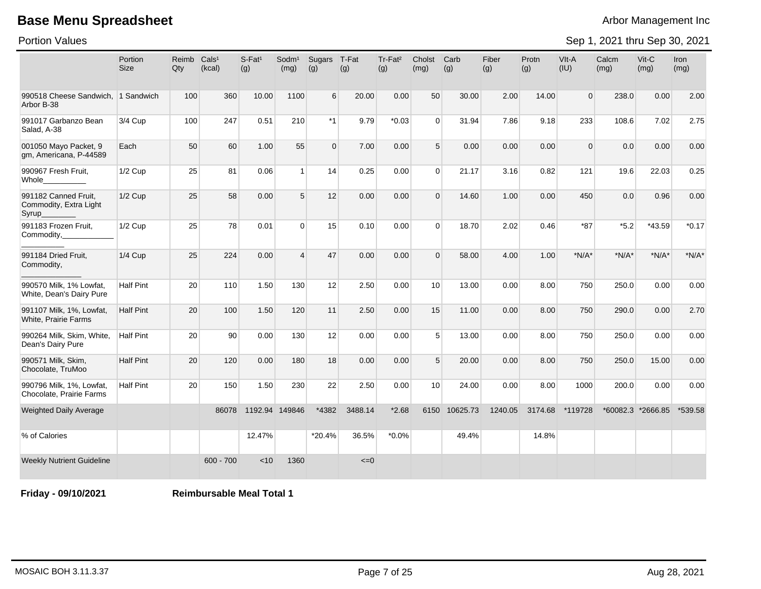Portion Values

Sep 1, 2021 thru Sep 30, 2021

|                                                          | Portion<br><b>Size</b> | Reimb<br>Qty | Cals <sup>1</sup><br>(kcal) | $S-Fat1$<br>(g) | Sodm <sup>1</sup><br>(mg) | Sugars<br>(g) | T-Fat<br>(g) | Tr-Fat <sup>2</sup><br>(g) | Cholst<br>(mg) | Carb<br>(g) | Fiber<br>(g) | Protn<br>(g) | $V$ lt-A<br>(IU) | Calcm<br>(mg) | Vit-C<br>(mg)     | Iron<br>(mg) |
|----------------------------------------------------------|------------------------|--------------|-----------------------------|-----------------|---------------------------|---------------|--------------|----------------------------|----------------|-------------|--------------|--------------|------------------|---------------|-------------------|--------------|
| 990518 Cheese Sandwich. 1 Sandwich<br>Arbor B-38         |                        | 100          | 360                         | 10.00           | 1100                      | 6             | 20.00        | 0.00                       | 50             | 30.00       | 2.00         | 14.00        | $\mathbf{0}$     | 238.0         | 0.00              | 2.00         |
| 991017 Garbanzo Bean<br>Salad, A-38                      | 3/4 Cup                | 100          | 247                         | 0.51            | 210                       | $*1$          | 9.79         | $*0.03$                    | $\Omega$       | 31.94       | 7.86         | 9.18         | 233              | 108.6         | 7.02              | 2.75         |
| 001050 Mayo Packet, 9<br>gm, Americana, P-44589          | Each                   | 50           | 60                          | 1.00            | 55                        | $\mathbf 0$   | 7.00         | 0.00                       | 5              | 0.00        | 0.00         | 0.00         | $\Omega$         | 0.0           | 0.00              | 0.00         |
| 990967 Fresh Fruit,<br>Whole_                            | 1/2 Cup                | 25           | 81                          | 0.06            | $\overline{1}$            | 14            | 0.25         | 0.00                       | $\Omega$       | 21.17       | 3.16         | 0.82         | 121              | 19.6          | 22.03             | 0.25         |
| 991182 Canned Fruit.<br>Commodity, Extra Light<br>Syrup_ | $1/2$ Cup              | 25           | 58                          | 0.00            | $5\overline{)}$           | 12            | 0.00         | 0.00                       | $\Omega$       | 14.60       | 1.00         | 0.00         | 450              | 0.0           | 0.96              | 0.00         |
| 991183 Frozen Fruit,<br>Commodity,                       | 1/2 Cup                | 25           | 78                          | 0.01            | $\Omega$                  | 15            | 0.10         | 0.00                       | $\mathbf 0$    | 18.70       | 2.02         | 0.46         | $*87$            | $*5.2$        | *43.59            | $*0.17$      |
| 991184 Dried Fruit,<br>Commodity,                        | <b>1/4 Cup</b>         | 25           | 224                         | 0.00            | $\overline{4}$            | 47            | 0.00         | 0.00                       | $\Omega$       | 58.00       | 4.00         | 1.00         | $*N/A*$          | $*N/A*$       | $*N/A*$           | $*N/A*$      |
| 990570 Milk, 1% Lowfat,<br>White, Dean's Dairy Pure      | Half Pint              | 20           | 110                         | 1.50            | 130                       | 12            | 2.50         | 0.00                       | 10             | 13.00       | 0.00         | 8.00         | 750              | 250.0         | 0.00              | 0.00         |
| 991107 Milk, 1%, Lowfat,<br>White, Prairie Farms         | <b>Half Pint</b>       | 20           | 100                         | 1.50            | 120                       | 11            | 2.50         | 0.00                       | 15             | 11.00       | 0.00         | 8.00         | 750              | 290.0         | 0.00              | 2.70         |
| 990264 Milk, Skim, White,<br>Dean's Dairy Pure           | <b>Half Pint</b>       | 20           | 90                          | 0.00            | 130                       | 12            | 0.00         | 0.00                       | 5              | 13.00       | 0.00         | 8.00         | 750              | 250.0         | 0.00              | 0.00         |
| 990571 Milk, Skim,<br>Chocolate, TruMoo                  | <b>Half Pint</b>       | 20           | 120                         | 0.00            | 180                       | 18            | 0.00         | 0.00                       | 5              | 20.00       | 0.00         | 8.00         | 750              | 250.0         | 15.00             | 0.00         |
| 990796 Milk, 1%, Lowfat,<br>Chocolate, Prairie Farms     | <b>Half Pint</b>       | 20           | 150                         | 1.50            | 230                       | 22            | 2.50         | 0.00                       | 10             | 24.00       | 0.00         | 8.00         | 1000             | 200.0         | 0.00              | 0.00         |
| <b>Weighted Daily Average</b>                            |                        |              | 86078                       |                 | 1192.94 149846            | *4382         | 3488.14      | $*2.68$                    | 6150           | 10625.73    | 1240.05      | 3174.68      | *119728          |               | *60082.3 *2666.85 | *539.58      |
| % of Calories                                            |                        |              |                             | 12.47%          |                           | $*20.4%$      | 36.5%        | $*0.0\%$                   |                | 49.4%       |              | 14.8%        |                  |               |                   |              |
| <b>Weekly Nutrient Guideline</b>                         |                        |              | $600 - 700$                 | < 10            | 1360                      |               | $\leq=0$     |                            |                |             |              |              |                  |               |                   |              |

**Friday - 09/10/2021 Reimbursable Meal Total 1**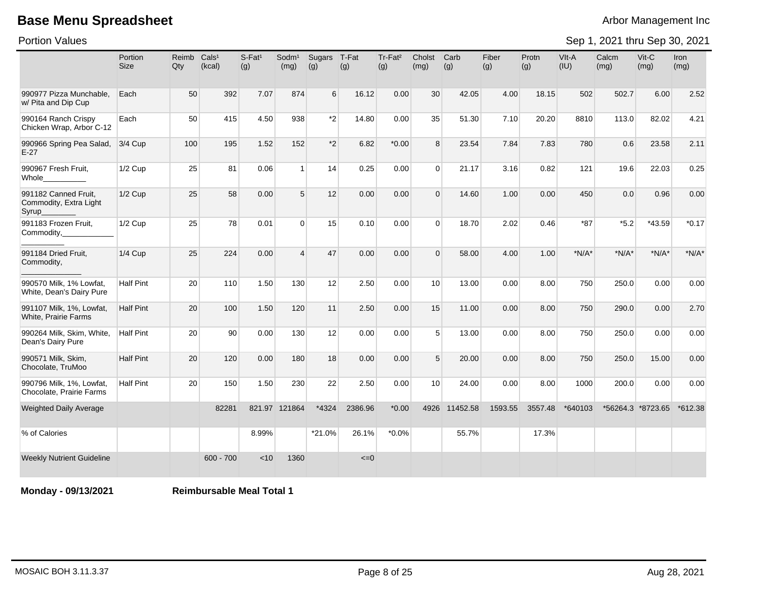Portion Values

Sep 1, 2021 thru Sep 30, 2021

|                                                          | Portion<br><b>Size</b> | Reimb<br>Qty | Cals <sup>1</sup><br>(kcal) | $S$ -Fat <sup>1</sup><br>(g) | Sodm <sup>1</sup><br>(mg) | Sugars<br>(g) | T-Fat<br>(g) | Tr-Fat <sup>2</sup><br>(g) | Cholst<br>(mg) | Carb<br>(g) | Fiber<br>(g) | Protn<br>(g) | VIt-A<br>(IU) | Calcm<br>(mg) | Vit-C<br>(mg)     | Iron<br>(mg) |
|----------------------------------------------------------|------------------------|--------------|-----------------------------|------------------------------|---------------------------|---------------|--------------|----------------------------|----------------|-------------|--------------|--------------|---------------|---------------|-------------------|--------------|
| 990977 Pizza Munchable.<br>w/ Pita and Dip Cup           | Each                   | 50           | 392                         | 7.07                         | 874                       | 6             | 16.12        | 0.00                       | 30             | 42.05       | 4.00         | 18.15        | 502           | 502.7         | 6.00              | 2.52         |
| 990164 Ranch Crispy<br>Chicken Wrap, Arbor C-12          | Each                   | 50           | 415                         | 4.50                         | 938                       | *2            | 14.80        | 0.00                       | 35             | 51.30       | 7.10         | 20.20        | 8810          | 113.0         | 82.02             | 4.21         |
| 990966 Spring Pea Salad,<br>$E-27$                       | 3/4 Cup                | 100          | 195                         | 1.52                         | 152                       | $*2$          | 6.82         | $*0.00$                    | 8              | 23.54       | 7.84         | 7.83         | 780           | 0.6           | 23.58             | 2.11         |
| 990967 Fresh Fruit,<br>Whole                             | 1/2 Cup                | 25           | 81                          | 0.06                         | $\mathbf{1}$              | 14            | 0.25         | 0.00                       | $\Omega$       | 21.17       | 3.16         | 0.82         | 121           | 19.6          | 22.03             | 0.25         |
| 991182 Canned Fruit,<br>Commodity, Extra Light<br>Syrup_ | 1/2 Cup                | 25           | 58                          | 0.00                         | 5                         | 12            | 0.00         | 0.00                       | $\Omega$       | 14.60       | 1.00         | 0.00         | 450           | 0.0           | 0.96              | 0.00         |
| 991183 Frozen Fruit.<br>Commodity,                       | 1/2 Cup                | 25           | 78                          | 0.01                         | $\Omega$                  | 15            | 0.10         | 0.00                       | $\Omega$       | 18.70       | 2.02         | 0.46         | $*87$         | $*5.2$        | $*43.59$          | $*0.17$      |
| 991184 Dried Fruit,<br>Commodity,                        | 1/4 Cup                | 25           | 224                         | 0.00                         | $\overline{4}$            | 47            | 0.00         | 0.00                       | $\Omega$       | 58.00       | 4.00         | 1.00         | $*N/A*$       | $*N/A*$       | $*N/A*$           | $*N/A*$      |
| 990570 Milk, 1% Lowfat,<br>White, Dean's Dairy Pure      | <b>Half Pint</b>       | 20           | 110                         | 1.50                         | 130                       | 12            | 2.50         | 0.00                       | 10             | 13.00       | 0.00         | 8.00         | 750           | 250.0         | 0.00              | 0.00         |
| 991107 Milk, 1%, Lowfat,<br>White, Prairie Farms         | <b>Half Pint</b>       | 20           | 100                         | 1.50                         | 120                       | 11            | 2.50         | 0.00                       | 15             | 11.00       | 0.00         | 8.00         | 750           | 290.0         | 0.00              | 2.70         |
| 990264 Milk, Skim, White,<br>Dean's Dairy Pure           | <b>Half Pint</b>       | 20           | 90                          | 0.00                         | 130                       | 12            | 0.00         | 0.00                       | 5              | 13.00       | 0.00         | 8.00         | 750           | 250.0         | 0.00              | 0.00         |
| 990571 Milk, Skim,<br>Chocolate, TruMoo                  | <b>Half Pint</b>       | 20           | 120                         | 0.00                         | 180                       | 18            | 0.00         | 0.00                       | 5              | 20.00       | 0.00         | 8.00         | 750           | 250.0         | 15.00             | 0.00         |
| 990796 Milk, 1%, Lowfat,<br>Chocolate, Prairie Farms     | <b>Half Pint</b>       | 20           | 150                         | 1.50                         | 230                       | 22            | 2.50         | 0.00                       | 10             | 24.00       | 0.00         | 8.00         | 1000          | 200.0         | 0.00              | 0.00         |
| <b>Weighted Daily Average</b>                            |                        |              | 82281                       |                              | 821.97 121864             | *4324         | 2386.96      | $*0.00*$                   | 4926           | 11452.58    | 1593.55      | 3557.48      | *640103       |               | *56264.3 *8723.65 | $*612.38$    |
| % of Calories                                            |                        |              |                             | 8.99%                        |                           | *21.0%        | 26.1%        | $*0.0\%$                   |                | 55.7%       |              | 17.3%        |               |               |                   |              |
| <b>Weekly Nutrient Guideline</b>                         |                        |              | $600 - 700$                 | < 10                         | 1360                      |               | $\leq=0$     |                            |                |             |              |              |               |               |                   |              |

**Monday - 09/13/2021 Reimbursable Meal Total 1**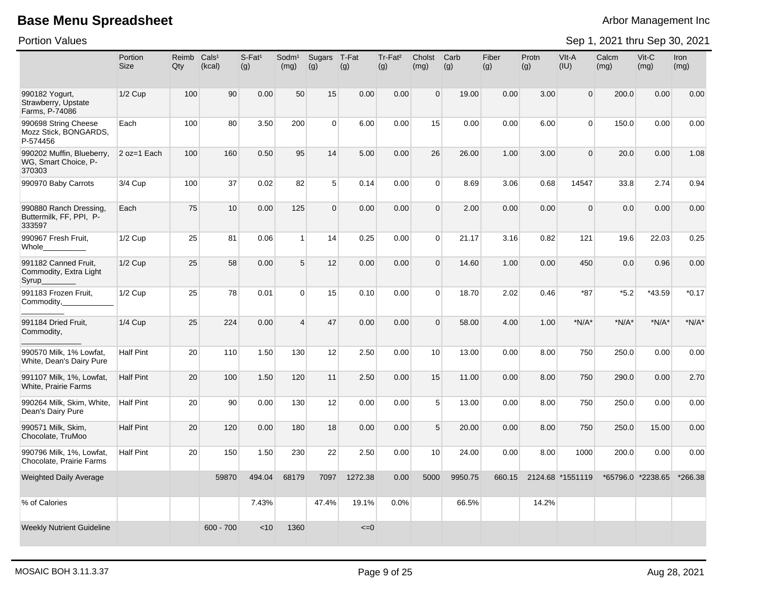Portion Values

|                                                             | Portion<br><b>Size</b> | Reimb<br>Qty | Cals <sup>1</sup><br>(kcal) | $S$ -Fat <sup>1</sup><br>(g) | Sodm <sup>1</sup><br>(mg) | Sugars<br>(g)  | T-Fat<br>(g) | Tr-Fat <sup>2</sup><br>(g) | Cholst<br>(mg)  | Carb<br>(g) | Fiber<br>(g) | Protn<br>(g) | VIt-A<br>(IU)    | Calcm<br>(mg) | Vit-C<br>(mg)     | <b>Iron</b><br>(mg) |
|-------------------------------------------------------------|------------------------|--------------|-----------------------------|------------------------------|---------------------------|----------------|--------------|----------------------------|-----------------|-------------|--------------|--------------|------------------|---------------|-------------------|---------------------|
| 990182 Yogurt,<br>Strawberry, Upstate<br>Farms, P-74086     | $1/2$ Cup              | 100          | 90                          | 0.00                         | 50                        | 15             | 0.00         | 0.00                       | $\Omega$        | 19.00       | 0.00         | 3.00         | $\mathbf{0}$     | 200.0         | 0.00              | 0.00                |
| 990698 String Cheese<br>Mozz Stick, BONGARDS,<br>P-574456   | Each                   | 100          | 80                          | 3.50                         | 200                       | $\overline{0}$ | 6.00         | 0.00                       | 15              | 0.00        | 0.00         | 6.00         | $\Omega$         | 150.0         | 0.00              | 0.00                |
| 990202 Muffin, Blueberry,<br>WG, Smart Choice, P-<br>370303 | 2 oz=1 Each            | 100          | 160                         | 0.50                         | 95                        | 14             | 5.00         | 0.00                       | 26              | 26.00       | 1.00         | 3.00         | $\Omega$         | 20.0          | 0.00              | 1.08                |
| 990970 Baby Carrots                                         | 3/4 Cup                | 100          | 37                          | 0.02                         | 82                        | 5 <sup>1</sup> | 0.14         | 0.00                       | $\Omega$        | 8.69        | 3.06         | 0.68         | 14547            | 33.8          | 2.74              | 0.94                |
| 990880 Ranch Dressing,<br>Buttermilk, FF, PPI, P-<br>333597 | Each                   | 75           | 10                          | 0.00                         | 125                       | $\overline{0}$ | 0.00         | 0.00                       | $\Omega$        | 2.00        | 0.00         | 0.00         | $\Omega$         | 0.0           | 0.00              | 0.00                |
| 990967 Fresh Fruit,<br>Whole                                | $1/2$ Cup              | 25           | 81                          | 0.06                         | $\mathbf{1}$              | 14             | 0.25         | 0.00                       | $\Omega$        | 21.17       | 3.16         | 0.82         | 121              | 19.6          | 22.03             | 0.25                |
| 991182 Canned Fruit,<br>Commodity, Extra Light<br>Syrup_    | $1/2$ Cup              | 25           | 58                          | 0.00                         | $5\phantom{.0}$           | 12             | 0.00         | 0.00                       | $\Omega$        | 14.60       | 1.00         | 0.00         | 450              | 0.0           | 0.96              | 0.00                |
| 991183 Frozen Fruit,<br>Commodity,                          | $1/2$ Cup              | 25           | 78                          | 0.01                         | $\Omega$                  | 15             | 0.10         | 0.00                       | $\Omega$        | 18.70       | 2.02         | 0.46         | $*87$            | $*5.2$        | *43.59            | $*0.17$             |
| 991184 Dried Fruit,<br>Commodity,                           | 1/4 Cup                | 25           | 224                         | 0.00                         | $\overline{4}$            | 47             | 0.00         | 0.00                       | $\Omega$        | 58.00       | 4.00         | 1.00         | $*N/A*$          | $*N/A*$       | $*N/A*$           | $*N/A*$             |
| 990570 Milk, 1% Lowfat,<br>White, Dean's Dairy Pure         | <b>Half Pint</b>       | 20           | 110                         | 1.50                         | 130                       | 12             | 2.50         | 0.00                       | 10 <sup>1</sup> | 13.00       | 0.00         | 8.00         | 750              | 250.0         | 0.00              | 0.00                |
| 991107 Milk, 1%, Lowfat,<br>White, Prairie Farms            | Half Pint              | 20           | 100                         | 1.50                         | 120                       | 11             | 2.50         | 0.00                       | 15              | 11.00       | 0.00         | 8.00         | 750              | 290.0         | 0.00              | 2.70                |
| 990264 Milk, Skim, White,<br>Dean's Dairy Pure              | Half Pint              | 20           | 90                          | 0.00                         | 130                       | 12             | 0.00         | 0.00                       | 5               | 13.00       | 0.00         | 8.00         | 750              | 250.0         | 0.00              | 0.00                |
| 990571 Milk, Skim,<br>Chocolate, TruMoo                     | <b>Half Pint</b>       | 20           | 120                         | 0.00                         | 180                       | 18             | 0.00         | 0.00                       | 5               | 20.00       | 0.00         | 8.00         | 750              | 250.0         | 15.00             | 0.00                |
| 990796 Milk, 1%, Lowfat,<br>Chocolate, Prairie Farms        | Half Pint              | 20           | 150                         | 1.50                         | 230                       | 22             | 2.50         | 0.00                       | 10 <sup>1</sup> | 24.00       | 0.00         | 8.00         | 1000             | 200.0         | 0.00              | 0.00                |
| <b>Weighted Daily Average</b>                               |                        |              | 59870                       | 494.04                       | 68179                     | 7097           | 1272.38      | 0.00                       | 5000            | 9950.75     | 660.15       |              | 2124.68 *1551119 |               | *65796.0 *2238.65 | *266.38             |
| % of Calories                                               |                        |              |                             | 7.43%                        |                           | 47.4%          | 19.1%        | 0.0%                       |                 | 66.5%       |              | 14.2%        |                  |               |                   |                     |
| <b>Weekly Nutrient Guideline</b>                            |                        |              | $600 - 700$                 | $<$ 10                       | 1360                      |                | $\leq=0$     |                            |                 |             |              |              |                  |               |                   |                     |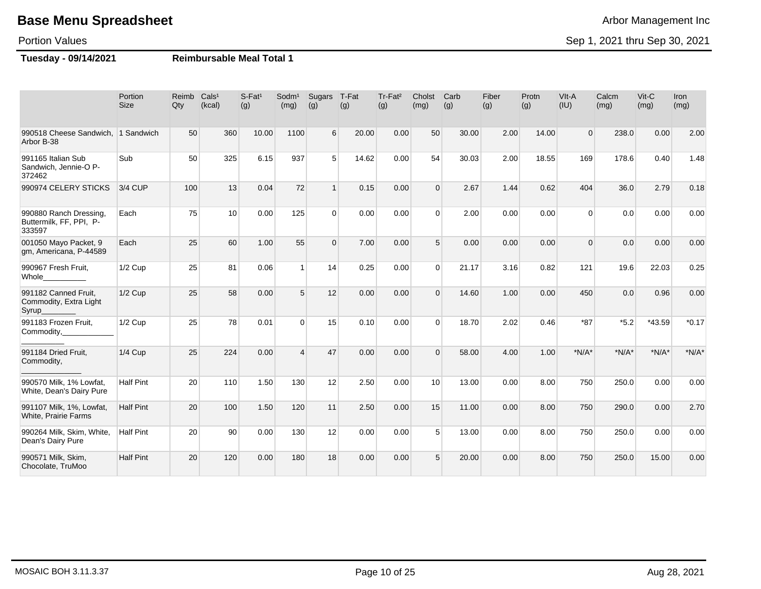#### Portion Values

**Tuesday - 09/14/2021 Reimbursable Meal Total 1**

|                                                             | Portion<br><b>Size</b> | Reimb<br>Qty | Cals <sup>1</sup><br>(kcal) | S-Fat <sup>1</sup><br>(g) | Sodm <sup>1</sup><br>(mg) | Sugars<br>(g)   | T-Fat<br>(g) | Tr-Fat <sup>2</sup><br>(g) | Cholst<br>(mg)  | Carb<br>(g) | Fiber<br>(g) | Protn<br>(g) | VIt-A<br>(IU)  | Calcm<br>(mg) | Vit-C<br>(mg) | Iron<br>(mg) |
|-------------------------------------------------------------|------------------------|--------------|-----------------------------|---------------------------|---------------------------|-----------------|--------------|----------------------------|-----------------|-------------|--------------|--------------|----------------|---------------|---------------|--------------|
| 990518 Cheese Sandwich, 1 Sandwich<br>Arbor B-38            |                        | 50           | 360                         | 10.00                     | 1100                      | 6               | 20.00        | 0.00                       | 50              | 30.00       | 2.00         | 14.00        | $\overline{0}$ | 238.0         | 0.00          | 2.00         |
| 991165 Italian Sub<br>Sandwich, Jennie-O P-<br>372462       | Sub                    | 50           | 325                         | 6.15                      | 937                       | $5\overline{)}$ | 14.62        | 0.00                       | 54              | 30.03       | 2.00         | 18.55        | 169            | 178.6         | 0.40          | 1.48         |
| 990974 CELERY STICKS                                        | 3/4 CUP                | 100          | 13                          | 0.04                      | 72                        | $\overline{1}$  | 0.15         | 0.00                       | $\Omega$        | 2.67        | 1.44         | 0.62         | 404            | 36.0          | 2.79          | 0.18         |
| 990880 Ranch Dressing,<br>Buttermilk, FF, PPI, P-<br>333597 | Each                   | 75           | 10 <sup>1</sup>             | 0.00                      | 125                       | $\Omega$        | 0.00         | 0.00                       | $\Omega$        | 2.00        | 0.00         | 0.00         | $\Omega$       | 0.0           | 0.00          | 0.00         |
| 001050 Mayo Packet, 9<br>gm, Americana, P-44589             | Each                   | 25           | 60                          | 1.00                      | 55                        | $\Omega$        | 7.00         | 0.00                       | 5 <sup>5</sup>  | 0.00        | 0.00         | 0.00         | $\Omega$       | 0.0           | 0.00          | 0.00         |
| 990967 Fresh Fruit,<br>Whole                                | $1/2$ Cup              | 25           | 81                          | 0.06                      | $\overline{1}$            | 14              | 0.25         | 0.00                       | $\Omega$        | 21.17       | 3.16         | 0.82         | 121            | 19.6          | 22.03         | 0.25         |
| 991182 Canned Fruit,<br>Commodity, Extra Light<br>Syrup_    | $1/2$ Cup              | 25           | 58                          | 0.00                      | 5                         | 12              | 0.00         | 0.00                       | $\Omega$        | 14.60       | 1.00         | 0.00         | 450            | 0.0           | 0.96          | 0.00         |
| 991183 Frozen Fruit,<br>Commodity,                          | $1/2$ Cup              | 25           | 78                          | 0.01                      | $\Omega$                  | 15              | 0.10         | 0.00                       | $\Omega$        | 18.70       | 2.02         | 0.46         | $*87$          | $*5.2$        | $*43.59$      | $*0.17$      |
| 991184 Dried Fruit,<br>Commodity,                           | <b>1/4 Cup</b>         | 25           | 224                         | 0.00                      | $\overline{4}$            | 47              | 0.00         | 0.00                       | $\Omega$        | 58.00       | 4.00         | 1.00         | $*N/A*$        | $*N/A*$       | $*N/A*$       | $*N/A*$      |
| 990570 Milk, 1% Lowfat,<br>White, Dean's Dairy Pure         | <b>Half Pint</b>       | 20           | 110                         | 1.50                      | 130                       | 12              | 2.50         | 0.00                       | 10 <sup>1</sup> | 13.00       | 0.00         | 8.00         | 750            | 250.0         | 0.00          | 0.00         |
| 991107 Milk, 1%, Lowfat,<br><b>White, Prairie Farms</b>     | <b>Half Pint</b>       | 20           | 100                         | 1.50                      | 120                       | 11              | 2.50         | 0.00                       | 15              | 11.00       | 0.00         | 8.00         | 750            | 290.0         | 0.00          | 2.70         |
| 990264 Milk, Skim, White,<br>Dean's Dairy Pure              | <b>Half Pint</b>       | 20           | 90                          | 0.00                      | 130                       | 12              | 0.00         | 0.00                       | 5               | 13.00       | 0.00         | 8.00         | 750            | 250.0         | 0.00          | 0.00         |
| 990571 Milk, Skim,<br>Chocolate, TruMoo                     | <b>Half Pint</b>       | 20           | 120                         | 0.00                      | 180                       | 18              | 0.00         | 0.00                       | 5               | 20.00       | 0.00         | 8.00         | 750            | 250.0         | 15.00         | 0.00         |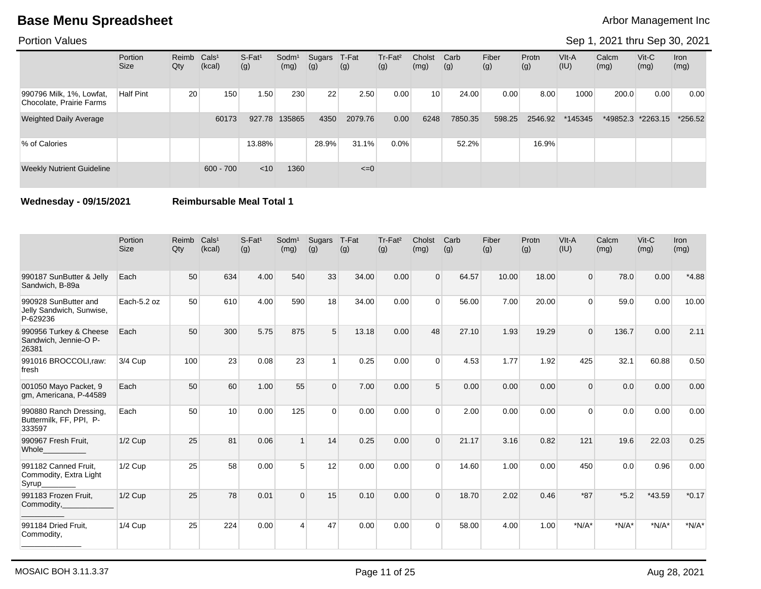### Portion Values

### Sep 1, 2021 thru Sep 30, 2021

|                                                      | Portion<br><b>Size</b> | Reimb Cals <sup>1</sup><br>Qty | (kcal)      | $S-Fat1$<br>(g) | Sodm <sup>1</sup><br>(mg) | Sugars<br>(g) | T-Fat<br>(g) | Tr-Fat <sup>2</sup><br>(g) | Cholst<br>(mg)  | Carb<br>(g) | Fiber<br>(g) | Protn<br>(g) | VIt-A<br>(IU) | Calcm<br>(mg) | $V$ it-C<br>(mg) | <b>Iron</b><br>(mg) |
|------------------------------------------------------|------------------------|--------------------------------|-------------|-----------------|---------------------------|---------------|--------------|----------------------------|-----------------|-------------|--------------|--------------|---------------|---------------|------------------|---------------------|
| 990796 Milk, 1%, Lowfat,<br>Chocolate, Prairie Farms | <b>Half Pint</b>       | 20                             | 150         | 1.50            | 230                       | 22            | 2.50         | 0.00                       | 10 <sup>1</sup> | 24.00       | 0.00         | 8.00         | 1000          | 200.0         | 0.00             | 0.00                |
| <b>Weighted Daily Average</b>                        |                        |                                | 60173       | 927.78          | 135865                    | 4350          | 2079.76      | 0.00                       | 6248            | 7850.35     | 598.25       | 2546.92      | *145345       | *49852.3      | $*2263.15$       | $*256.52$           |
| % of Calories                                        |                        |                                |             | 13.88%          |                           | 28.9%         | 31.1%        | $0.0\%$                    |                 | 52.2%       |              | 16.9%        |               |               |                  |                     |
| <b>Weekly Nutrient Guideline</b>                     |                        |                                | $600 - 700$ | $<$ 10          | 1360                      |               | $\leq=0$     |                            |                 |             |              |              |               |               |                  |                     |

### **Wednesday - 09/15/2021 Reimbursable Meal Total 1**

|                                                              | Portion<br><b>Size</b> | Reimb<br>Qty | Cals <sup>1</sup><br>(kcal) | $S-Fat1$<br>(g) | Sodm <sup>1</sup><br>(mg) | Sugars<br>(g) | T-Fat<br>(g) | Tr-Fat <sup>2</sup><br>(g) | Cholst<br>(mg) | Carb<br>(g) | Fiber<br>(g) | Protn<br>(g) | VIt-A<br>(IU) | Calcm<br>(mg) | $Vit-C$<br>(mg) | <b>Iron</b><br>(mg) |
|--------------------------------------------------------------|------------------------|--------------|-----------------------------|-----------------|---------------------------|---------------|--------------|----------------------------|----------------|-------------|--------------|--------------|---------------|---------------|-----------------|---------------------|
| 990187 SunButter & Jelly<br>Sandwich, B-89a                  | Each                   | 50           | 634                         | 4.00            | 540                       | 33            | 34.00        | 0.00                       | $\Omega$       | 64.57       | 10.00        | 18.00        | $\Omega$      | 78.0          | 0.00            | $*4.88$             |
| 990928 SunButter and<br>Jelly Sandwich, Sunwise,<br>P-629236 | Each-5.2 oz            | 50           | 610                         | 4.00            | 590                       | 18            | 34.00        | 0.00                       | $\Omega$       | 56.00       | 7.00         | 20.00        | $\Omega$      | 59.0          | 0.00            | 10.00               |
| 990956 Turkey & Cheese<br>Sandwich, Jennie-O P-<br>26381     | Each                   | 50           | 300                         | 5.75            | 875                       | 5             | 13.18        | 0.00                       | 48             | 27.10       | 1.93         | 19.29        | $\Omega$      | 136.7         | 0.00            | 2.11                |
| 991016 BROCCOLI,raw:<br>fresh                                | 3/4 Cup                | 100          | 23                          | 0.08            | 23                        | 1             | 0.25         | 0.00                       | $\Omega$       | 4.53        | 1.77         | 1.92         | 425           | 32.1          | 60.88           | 0.50                |
| 001050 Mayo Packet, 9<br>gm, Americana, P-44589              | Each                   | 50           | 60                          | 1.00            | 55                        | $\Omega$      | 7.00         | 0.00                       | 5              | 0.00        | 0.00         | 0.00         | 0             | 0.0           | 0.00            | 0.00                |
| 990880 Ranch Dressing,<br>Buttermilk, FF, PPI, P-<br>333597  | Each                   | 50           | 10 <sup>1</sup>             | 0.00            | 125                       | $\Omega$      | 0.00         | 0.00                       | $\Omega$       | 2.00        | 0.00         | 0.00         | $\Omega$      | 0.0           | 0.00            | 0.00                |
| 990967 Fresh Fruit,<br>Whole_                                | $1/2$ Cup              | 25           | 81                          | 0.06            | $\overline{1}$            | 14            | 0.25         | 0.00                       | $\Omega$       | 21.17       | 3.16         | 0.82         | 121           | 19.6          | 22.03           | 0.25                |
| 991182 Canned Fruit.<br>Commodity, Extra Light<br>Syrup_     | $1/2$ Cup              | 25           | 58                          | 0.00            | 5                         | 12            | 0.00         | 0.00                       | $\Omega$       | 14.60       | 1.00         | 0.00         | 450           | 0.0           | 0.96            | 0.00                |
| 991183 Frozen Fruit,<br>Commodity,                           | $1/2$ Cup              | 25           | 78                          | 0.01            | $\Omega$                  | 15            | 0.10         | 0.00                       | $\Omega$       | 18.70       | 2.02         | 0.46         | $*87$         | $*5.2$        | *43.59          | $*0.17$             |
| 991184 Dried Fruit,<br>Commodity,                            | 1/4 Cup                | 25           | 224                         | 0.00            | $\boldsymbol{\Lambda}$    | 47            | 0.00         | 0.00                       | $\Omega$       | 58.00       | 4.00         | 1.00         | $*N/A*$       | $*N/A*$       | $*N/A*$         | $*N/A*$             |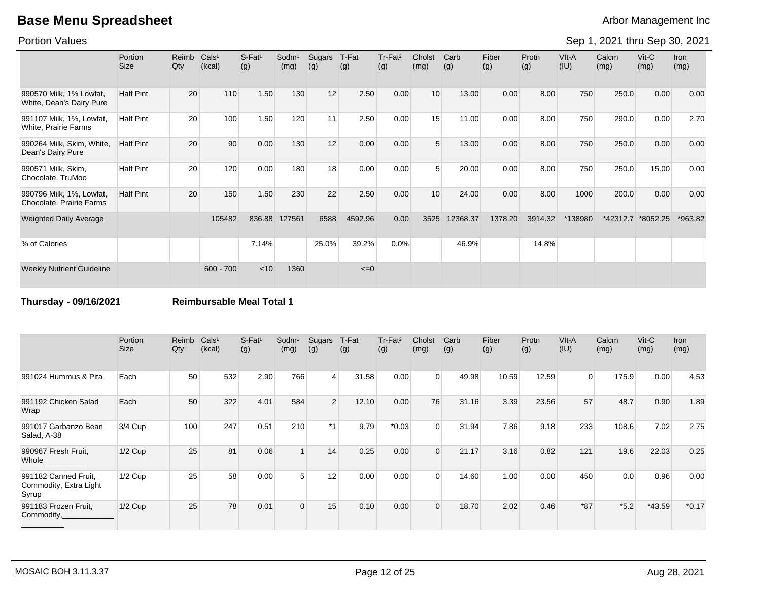Portion Values

Sep 1, 2021 thru Sep 30, 2021

|                                                      | Portion<br><b>Size</b> | Reimb<br>Qty | Cals <sup>1</sup><br>(kcal) | $S-Fat1$<br>(g) | Sodm <sup>1</sup><br>(mg) | <b>Sugars</b><br>(g) | T-Fat<br>(g) | Tr-Fat <sup>2</sup><br>(g) | Cholst<br>(mg) | Carb<br>(g) | Fiber<br>(g) | Protn<br>(g) | VIt-A<br>(IU) | Calcm<br>(mg) | $V$ it-C<br>(mg) | <b>Iron</b><br>(mg) |
|------------------------------------------------------|------------------------|--------------|-----------------------------|-----------------|---------------------------|----------------------|--------------|----------------------------|----------------|-------------|--------------|--------------|---------------|---------------|------------------|---------------------|
| 990570 Milk, 1% Lowfat,<br>White, Dean's Dairy Pure  | <b>Half Pint</b>       | 20           | 110                         | 1.50            | 130                       | 12                   | 2.50         | 0.00                       | 10             | 13.00       | 0.00         | 8.00         | 750           | 250.0         | 0.00             | 0.00                |
| 991107 Milk, 1%, Lowfat,<br>White, Prairie Farms     | <b>Half Pint</b>       | 20           | 100                         | 1.50            | 120                       | 11                   | 2.50         | 0.00                       | 15             | 11.00       | 0.00         | 8.00         | 750           | 290.0         | 0.00             | 2.70                |
| 990264 Milk, Skim, White,<br>Dean's Dairy Pure       | <b>Half Pint</b>       | 20           | 90                          | 0.00            | 130                       | 12                   | 0.00         | 0.00                       | 5              | 13.00       | 0.00         | 8.00         | 750           | 250.0         | 0.00             | 0.00                |
| 990571 Milk, Skim,<br>Chocolate, TruMoo              | <b>Half Pint</b>       | 20           | 120                         | 0.00            | 180                       | 18                   | 0.00         | 0.00                       | 5              | 20.00       | 0.00         | 8.00         | 750           | 250.0         | 15.00            | 0.00                |
| 990796 Milk, 1%, Lowfat,<br>Chocolate, Prairie Farms | <b>Half Pint</b>       | 20           | 150                         | 1.50            | 230                       | 22                   | 2.50         | 0.00                       | 10             | 24.00       | 0.00         | 8.00         | 1000          | 200.0         | 0.00             | 0.00                |
| <b>Weighted Daily Average</b>                        |                        |              | 105482                      | 836.88          | 127561                    | 6588                 | 4592.96      | 0.00                       | 3525           | 12368.37    | 1378.20      | 3914.32      | *138980       | *42312.7      | *8052.25         | *963.82             |
| % of Calories                                        |                        |              |                             | 7.14%           |                           | 25.0%                | 39.2%        | 0.0%                       |                | 46.9%       |              | 14.8%        |               |               |                  |                     |
| <b>Weekly Nutrient Guideline</b>                     |                        |              | $600 - 700$                 | < 10            | 1360                      |                      | $\leq=0$     |                            |                |             |              |              |               |               |                  |                     |

**Thursday - 09/16/2021 Reimbursable Meal Total 1**

|                                                          | Portion<br><b>Size</b> | Reimb<br>Qty | Cals <sup>1</sup><br>(kcal) | $S-Fat1$<br>(g) | Sodm <sup>1</sup><br>(mg) | Sugars<br>(g)   | T-Fat<br>(g) | $Tr-Fat2$<br>(g) | Cholst<br>(mg) | Carb<br>(g) | Fiber<br>(g) | Protn<br>(g) | VIt-A<br>(IU)  | Calcm<br>(mg) | $V$ it-C<br>(mg) | <b>Iron</b><br>(mg) |
|----------------------------------------------------------|------------------------|--------------|-----------------------------|-----------------|---------------------------|-----------------|--------------|------------------|----------------|-------------|--------------|--------------|----------------|---------------|------------------|---------------------|
| 991024 Hummus & Pita                                     | Each                   | 50           | 532                         | 2.90            | 766                       | $\vert 4 \vert$ | 31.58        | 0.00             | $\Omega$       | 49.98       | 10.59        | 12.59        | 0 <sup>1</sup> | 175.9         | 0.00             | 4.53                |
| 991192 Chicken Salad<br>Wrap                             | Each                   | 50           | 322                         | 4.01            | 584                       | 2               | 12.10        | 0.00             | 76             | 31.16       | 3.39         | 23.56        | 57             | 48.7          | 0.90             | 1.89                |
| 991017 Garbanzo Bean<br>Salad, A-38                      | 3/4 Cup                | 100          | 247                         | 0.51            | 210                       | $*1$            | 9.79         | $*0.03$          | $\Omega$       | 31.94       | 7.86         | 9.18         | 233            | 108.6         | 7.02             | 2.75                |
| 990967 Fresh Fruit,<br>Whole                             | $1/2$ Cup              | 25           | 81                          | 0.06            |                           | 14              | 0.25         | 0.00             | $\Omega$       | 21.17       | 3.16         | 0.82         | 121            | 19.6          | 22.03            | 0.25                |
| 991182 Canned Fruit,<br>Commodity, Extra Light<br>Syrup_ | $1/2$ Cup              | 25           | 58                          | 0.00            | 5                         | 12              | 0.00         | 0.00             | $\Omega$       | 14.60       | 1.00         | 0.00         | 450            | 0.0           | 0.96             | 0.00                |
| 991183 Frozen Fruit,<br>Commodity,                       | $1/2$ Cup              | 25           | 78                          | 0.01            | $\Omega$                  | 15              | 0.10         | 0.00             | $\mathbf 0$    | 18.70       | 2.02         | 0.46         | $*87$          | $*5.2$        | $*43.59$         | $*0.17$             |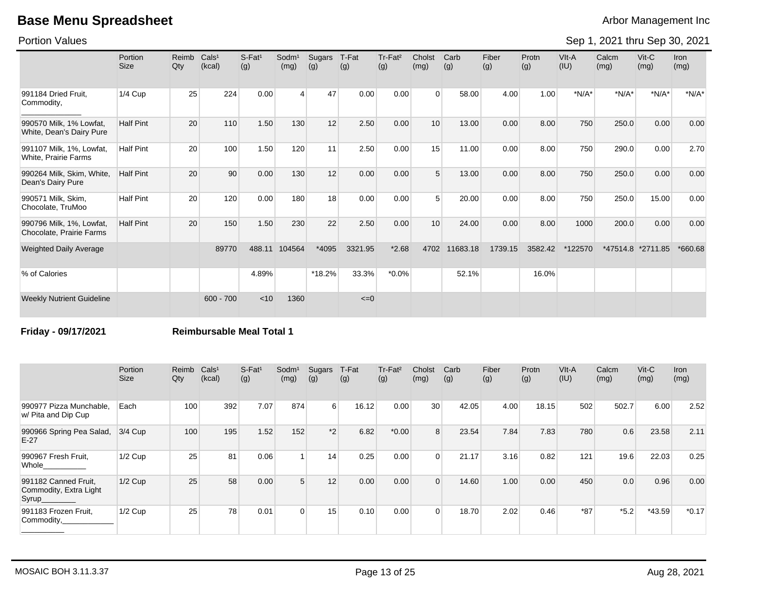Portion Values

Sep 1, 2021 thru Sep 30, 2021

|                                                      | Portion<br>Size  | Reimb<br>Qty | Cals <sup>1</sup><br>(kcal) | $S-Fat1$<br>(g) | Sodm <sup>1</sup><br>(mg) | Sugars<br>(g) | T-Fat<br>(g) | Tr-Fat <sup>2</sup><br>(g) | Cholst<br>(mg) | Carb<br>(g) | Fiber<br>(g) | Protn<br>(g) | VIt-A<br>(IU) | Calcm<br>(mg) | Vit-C<br>(mg) | Iron<br>(mg) |
|------------------------------------------------------|------------------|--------------|-----------------------------|-----------------|---------------------------|---------------|--------------|----------------------------|----------------|-------------|--------------|--------------|---------------|---------------|---------------|--------------|
| 991184 Dried Fruit.<br>Commodity,                    | 1/4 Cup          | 25           | 224                         | 0.00            | 4                         | 47            | 0.00         | 0.00                       | $\Omega$       | 58.00       | 4.00         | 1.00         | $*N/A*$       | $*N/A*$       | $*N/A*$       | $*N/A*$      |
| 990570 Milk, 1% Lowfat,<br>White, Dean's Dairy Pure  | <b>Half Pint</b> | 20           | 110                         | 1.50            | 130                       | 12            | 2.50         | 0.00                       | 10             | 13.00       | 0.00         | 8.00         | 750           | 250.0         | 0.00          | 0.00         |
| 991107 Milk, 1%, Lowfat,<br>White, Prairie Farms     | <b>Half Pint</b> | 20           | 100                         | 1.50            | 120                       | 11            | 2.50         | 0.00                       | 15             | 11.00       | 0.00         | 8.00         | 750           | 290.0         | 0.00          | 2.70         |
| 990264 Milk, Skim, White,<br>Dean's Dairy Pure       | <b>Half Pint</b> | 20           | 90                          | 0.00            | 130                       | 12            | 0.00         | 0.00                       | 5              | 13.00       | 0.00         | 8.00         | 750           | 250.0         | 0.00          | 0.00         |
| 990571 Milk, Skim,<br>Chocolate, TruMoo              | <b>Half Pint</b> | 20           | 120                         | 0.00            | 180                       | 18            | 0.00         | 0.00                       | 5              | 20.00       | 0.00         | 8.00         | 750           | 250.0         | 15.00         | 0.00         |
| 990796 Milk, 1%, Lowfat,<br>Chocolate, Prairie Farms | <b>Half Pint</b> | 20           | 150                         | 1.50            | 230                       | 22            | 2.50         | 0.00                       | 10             | 24.00       | 0.00         | 8.00         | 1000          | 200.0         | 0.00          | 0.00         |
| <b>Weighted Daily Average</b>                        |                  |              | 89770                       | 488.11          | 104564                    | *4095         | 3321.95      | $*2.68$                    | 4702           | 11683.18    | 1739.15      | 3582.42      | *122570       | $*47514.8$    | *2711.85      | *660.68      |
| % of Calories                                        |                  |              |                             | 4.89%           |                           | *18.2%        | 33.3%        | $*0.0\%$                   |                | 52.1%       |              | 16.0%        |               |               |               |              |
| <b>Weekly Nutrient Guideline</b>                     |                  |              | $600 - 700$                 | < 10            | 1360                      |               | $\leq=0$     |                            |                |             |              |              |               |               |               |              |

**Friday - 09/17/2021 Reimbursable Meal Total 1**

|                                                          | Portion<br><b>Size</b> | Reimb<br>Qty | Cals <sup>1</sup><br>(kcal) | $S-Fat1$<br>(g) | Sodm <sup>1</sup><br>(mg) | Sugars<br>(g) | T-Fat<br>(g) | Tr-Fat <sup>2</sup><br>(g) | Cholst<br>(mg) | Carb<br>(g) | Fiber<br>(g) | Protn<br>(g) | VIt-A<br>(IU) | Calcm<br>(mg) | $V$ it-C<br>(mg) | Iron<br>(mg) |
|----------------------------------------------------------|------------------------|--------------|-----------------------------|-----------------|---------------------------|---------------|--------------|----------------------------|----------------|-------------|--------------|--------------|---------------|---------------|------------------|--------------|
| 990977 Pizza Munchable.<br>w/ Pita and Dip Cup           | Each                   | 100          | 392                         | 7.07            | 874                       | 6             | 16.12        | 0.00                       | 30             | 42.05       | 4.00         | 18.15        | 502           | 502.7         | 6.00             | 2.52         |
| 990966 Spring Pea Salad,<br>$E-27$                       | 3/4 Cup                | 100          | 195                         | 1.52            | 152                       | $*2$          | 6.82         | $*0.00$                    |                | 23.54       | 7.84         | 7.83         | 780           | 0.6           | 23.58            | 2.11         |
| 990967 Fresh Fruit,<br>Whole                             | 1/2 Cup                | 25           | 81                          | 0.06            |                           | 14            | 0.25         | 0.00                       |                | 21.17       | 3.16         | 0.82         | 121           | 19.6          | 22.03            | 0.25         |
| 991182 Canned Fruit,<br>Commodity, Extra Light<br>Syrup_ | $1/2$ Cup              | 25           | 58                          | 0.00            | 5 <sup>1</sup>            | 12            | 0.00         | 0.00                       | $\Omega$       | 14.60       | 1.00         | 0.00         | 450           | 0.0           | 0.96             | 0.00         |
| 991183 Frozen Fruit,<br>Commodity,                       | $1/2$ Cup              | 25           | 78                          | 0.01            | $\overline{0}$            | 15            | 0.10         | 0.00                       | $\Omega$       | 18.70       | 2.02         | 0.46         | *87           | $*5.2$        | $*43.59$         | $*0.17$      |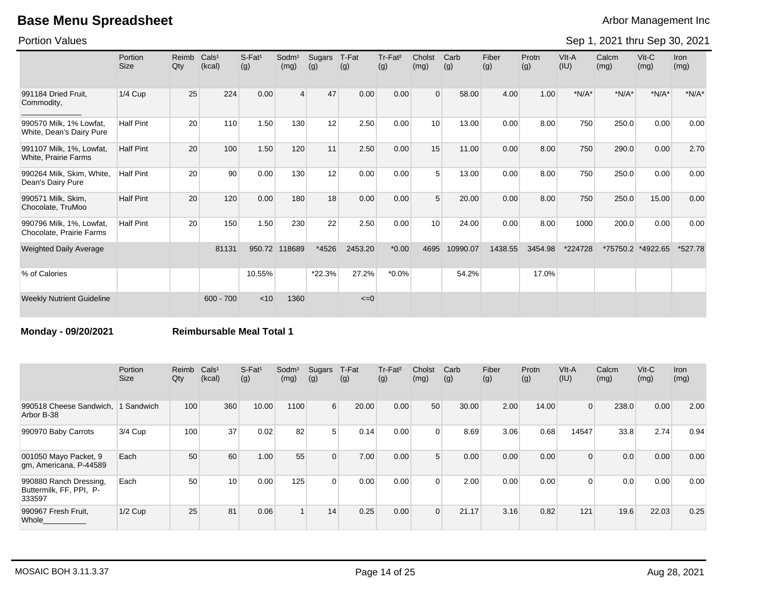Portion Values

Sep 1, 2021 thru Sep 30, 2021

|                                                         | Portion<br><b>Size</b> | Reimb<br>Qty | Cals <sup>1</sup><br>(kcal) | S-Fat <sup>1</sup><br>(g) | $S$ odm $1$<br>(mg) | Sugars<br>(g) | T-Fat<br>(g) | Tr-Fat <sup>2</sup><br>(g) | Cholst<br>(mg) | Carb<br>(g) | Fiber<br>(g) | Protn<br>(g) | VIt-A<br>(IU) | Calcm<br>(mg) | $V$ it-C<br>(mg) | <b>Iron</b><br>(mg) |
|---------------------------------------------------------|------------------------|--------------|-----------------------------|---------------------------|---------------------|---------------|--------------|----------------------------|----------------|-------------|--------------|--------------|---------------|---------------|------------------|---------------------|
| 991184 Dried Fruit,<br>Commodity,                       | $1/4$ Cup              | 25           | 224                         | 0.00                      | $\overline{4}$      | 47            | 0.00         | 0.00                       | $\Omega$       | 58.00       | 4.00         | 1.00         | $*N/A*$       | $*N/A*$       | $*N/A*$          | $*N/A*$             |
| 990570 Milk, 1% Lowfat,<br>White, Dean's Dairy Pure     | <b>Half Pint</b>       | 20           | 110                         | 1.50                      | 130                 | 12            | 2.50         | 0.00                       | 10             | 13.00       | 0.00         | 8.00         | 750           | 250.0         | 0.00             | 0.00                |
| 991107 Milk, 1%, Lowfat,<br><b>White, Prairie Farms</b> | <b>Half Pint</b>       | 20           | 100                         | 1.50                      | 120                 | 11            | 2.50         | 0.00                       | 15             | 11.00       | 0.00         | 8.00         | 750           | 290.0         | 0.00             | 2.70                |
| 990264 Milk, Skim, White,<br>Dean's Dairy Pure          | <b>Half Pint</b>       | 20           | 90                          | 0.00                      | 130                 | 12            | 0.00         | 0.00                       |                | 13.00       | 0.00         | 8.00         | 750           | 250.0         | 0.00             | 0.00                |
| 990571 Milk, Skim,<br>Chocolate, TruMoo                 | <b>Half Pint</b>       | 20           | 120                         | 0.00                      | 180                 | 18            | 0.00         | 0.00                       | $5^{\circ}$    | 20.00       | 0.00         | 8.00         | 750           | 250.0         | 15.00            | 0.00                |
| 990796 Milk, 1%, Lowfat,<br>Chocolate, Prairie Farms    | <b>Half Pint</b>       | 20           | 150                         | 1.50                      | 230                 | 22            | 2.50         | 0.00                       | 10             | 24.00       | 0.00         | 8.00         | 1000          | 200.0         | 0.00             | 0.00                |
| <b>Weighted Daily Average</b>                           |                        |              | 81131                       | 950.72                    | 118689              | *4526         | 2453.20      | $*0.00$                    | 4695           | 10990.07    | 1438.55      | 3454.98      | *224728       | *75750.2      | *4922.65         | *527.78             |
| % of Calories                                           |                        |              |                             | 10.55%                    |                     | *22.3%        | 27.2%        | $*0.0\%$                   |                | 54.2%       |              | 17.0%        |               |               |                  |                     |
| <b>Weekly Nutrient Guideline</b>                        |                        |              | $600 - 700$                 | < 10                      | 1360                |               | $\leq=0$     |                            |                |             |              |              |               |               |                  |                     |

**Monday - 09/20/2021 Reimbursable Meal Total 1**

|                                                             | Portion<br><b>Size</b> | Reimb Cals <sup>1</sup><br>Qty | (kcal) | $S$ -Fat <sup>1</sup><br>(g) | Sodm <sup>1</sup><br>(mg) | Sugars<br>(g)    | T-Fat<br>(g) | Tr-Fat <sup>2</sup><br>(g) | Cholst<br>(mg) | Carb<br>(g) | Fiber<br>(g) | Protn<br>(g) | VIt-A<br>(IU)  | Calcm<br>(mg) | $V$ it-C<br>(mg) | Iron<br>(mg) |
|-------------------------------------------------------------|------------------------|--------------------------------|--------|------------------------------|---------------------------|------------------|--------------|----------------------------|----------------|-------------|--------------|--------------|----------------|---------------|------------------|--------------|
| 990518 Cheese Sandwich,<br>Arbor B-38                       | 1 Sandwich             | 100                            | 360    | 10.00                        | 1100                      | $6 \overline{6}$ | 20.00        | 0.00                       | 50             | 30.00       | 2.00         | 14.00        | $\overline{0}$ | 238.0         | 0.00             | 2.00         |
| 990970 Baby Carrots                                         | 3/4 Cup                | 100                            | 37     | 0.02                         | 82                        | 5 <sup>1</sup>   | 0.14         | 0.00                       |                | 8.69        | 3.06         | 0.68         | 14547          | 33.8          | 2.74             | 0.94         |
| 001050 Mayo Packet, 9<br>gm, Americana, P-44589             | Each                   | 50                             | 60     | 1.00                         | 55                        | $\Omega$         | 7.00         | 0.00                       | $5^{\circ}$    | 0.00        | 0.00         | 0.00         | $\overline{0}$ | 0.0           | 0.00             | 0.00         |
| 990880 Ranch Dressing,<br>Buttermilk, FF, PPI, P-<br>333597 | Each                   | 50                             | 10     | 0.00                         | 125                       | $\Omega$         | 0.00         | 0.00                       | $\Omega$       | 2.00        | 0.00         | 0.00         | $\Omega$       | 0.0           | 0.00             | 0.00         |
| 990967 Fresh Fruit,<br>Whole                                | $1/2$ Cup              | 25                             | 81     | 0.06                         |                           | 14               | 0.25         | 0.00                       | $\Omega$       | 21.17       | 3.16         | 0.82         | 121            | 19.6          | 22.03            | 0.25         |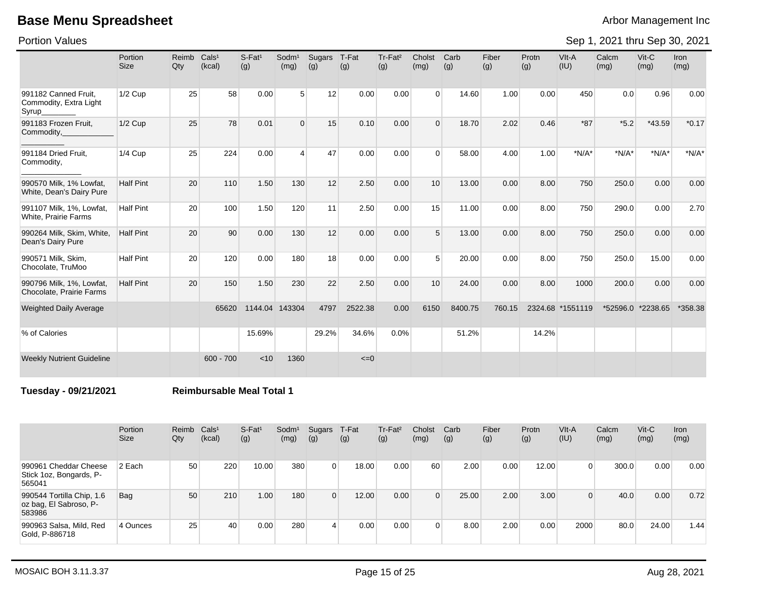Portion Values

Sep 1, 2021 thru Sep 30, 2021

|                                                         | Portion<br>Size  | Reimb<br>Qty | Cals <sup>1</sup><br>(kcal) | $S$ -Fat <sup>1</sup><br>(g) | Sodm <sup>1</sup><br>(mg) | Sugars<br>(g) | T-Fat<br>(g) | Tr-Fat <sup>2</sup><br>(g) | Cholst<br>(mg) | Carb<br>(g) | Fiber<br>(g) | Protn<br>(g) | VIt-A<br>(IU) | Calcm<br>(mg) | $V$ it-C<br>(mg) | <b>Iron</b><br>(mg) |
|---------------------------------------------------------|------------------|--------------|-----------------------------|------------------------------|---------------------------|---------------|--------------|----------------------------|----------------|-------------|--------------|--------------|---------------|---------------|------------------|---------------------|
| 991182 Canned Fruit.<br>Commodity, Extra Light<br>Syrup | $1/2$ Cup        | 25           | 58                          | 0.00                         | 5                         | 12            | 0.00         | 0.00                       | $\Omega$       | 14.60       | 1.00         | 0.00         | 450           | 0.0           | 0.96             | 0.00                |
| 991183 Frozen Fruit,<br>Commodity,                      | $1/2$ Cup        | 25           | 78                          | 0.01                         | $\Omega$                  | 15            | 0.10         | 0.00                       | $\Omega$       | 18.70       | 2.02         | 0.46         | $*87$         | $*5.2$        | *43.59           | $*0.17$             |
| 991184 Dried Fruit,<br>Commodity,                       | $1/4$ Cup        | 25           | 224                         | 0.00                         | $\overline{4}$            | 47            | 0.00         | 0.00                       | $\Omega$       | 58.00       | 4.00         | 1.00         | $*N/A*$       | $*N/A*$       | $*N/A*$          | $*N/A*$             |
| 990570 Milk, 1% Lowfat,<br>White, Dean's Dairy Pure     | <b>Half Pint</b> | 20           | 110                         | 1.50                         | 130                       | 12            | 2.50         | 0.00                       | 10             | 13.00       | 0.00         | 8.00         | 750           | 250.0         | 0.00             | 0.00                |
| 991107 Milk, 1%, Lowfat,<br><b>White, Prairie Farms</b> | <b>Half Pint</b> | 20           | 100                         | 1.50                         | 120                       | 11            | 2.50         | 0.00                       | 15             | 11.00       | 0.00         | 8.00         | 750           | 290.0         | 0.00             | 2.70                |
| 990264 Milk, Skim, White,<br>Dean's Dairy Pure          | <b>Half Pint</b> | 20           | 90                          | 0.00                         | 130                       | 12            | 0.00         | 0.00                       | 5              | 13.00       | 0.00         | 8.00         | 750           | 250.0         | 0.00             | 0.00                |
| 990571 Milk, Skim,<br>Chocolate, TruMoo                 | <b>Half Pint</b> | 20           | 120                         | 0.00                         | 180                       | 18            | 0.00         | 0.00                       | 5              | 20.00       | 0.00         | 8.00         | 750           | 250.0         | 15.00            | 0.00                |
| 990796 Milk, 1%, Lowfat,<br>Chocolate, Prairie Farms    | <b>Half Pint</b> | 20           | 150                         | 1.50                         | 230                       | 22            | 2.50         | 0.00                       | 10             | 24.00       | 0.00         | 8.00         | 1000          | 200.0         | 0.00             | 0.00                |
| <b>Weighted Daily Average</b>                           |                  |              | 65620                       | 1144.04                      | 143304                    | 4797          | 2522.38      | 0.00                       | 6150           | 8400.75     | 760.15       | 2324.68      | *1551119      | *52596.0      | *2238.65         | *358.38             |
| % of Calories                                           |                  |              |                             | 15.69%                       |                           | 29.2%         | 34.6%        | 0.0%                       |                | 51.2%       |              | 14.2%        |               |               |                  |                     |
| <b>Weekly Nutrient Guideline</b>                        |                  |              | $600 - 700$                 | < 10                         | 1360                      |               | $\leq=0$     |                            |                |             |              |              |               |               |                  |                     |

**Tuesday - 09/21/2021 Reimbursable Meal Total 1**

|                                                               | Portion<br><b>Size</b> | Reimb<br>Qty | Cals <sup>1</sup><br>(kcal) | $S-Fat1$<br>(g) | Sodm <sup>1</sup><br>(mg) | Sugars<br>(g)  | T-Fat<br>(g) | Tr-Fat <sup>2</sup><br>(g) | Cholst<br>(mg) | Carb<br>(g) | Fiber<br>(g) | Protn<br>(g) | VIt-A<br>(IU) | Calcm<br>(mg) | $V$ it-C<br>(mg) | <b>Iron</b><br>(mg) |
|---------------------------------------------------------------|------------------------|--------------|-----------------------------|-----------------|---------------------------|----------------|--------------|----------------------------|----------------|-------------|--------------|--------------|---------------|---------------|------------------|---------------------|
| 990961 Cheddar Cheese<br>Stick 1oz, Bongards, P-<br>565041    | 2 Each                 | 50           | 220                         | 10.00           | 380                       | $\Omega$       | 18.00        | 0.00                       | 60             | 2.00        | 0.00         | 12.00        | 0             | 300.0         | 0.00             | 0.00                |
| 990544 Tortilla Chip, 1.6<br>oz bag, El Sabroso, P-<br>583986 | Bag                    | 50           | 210                         | 1.00            | 180                       | $\Omega$       | 12.00        | 0.00                       |                | 25.00       | 2.00         | 3.00         | $\Omega$      | 40.0          | 0.00             | 0.72                |
| 990963 Salsa, Mild, Red<br>Gold, P-886718                     | 4 Ounces               | 25           | 40                          | 0.00            | 280                       | $\overline{4}$ | 0.00         | 0.00                       |                | 8.00        | 2.00         | 0.00         | 2000          | 80.0          | 24.00            | 1.44                |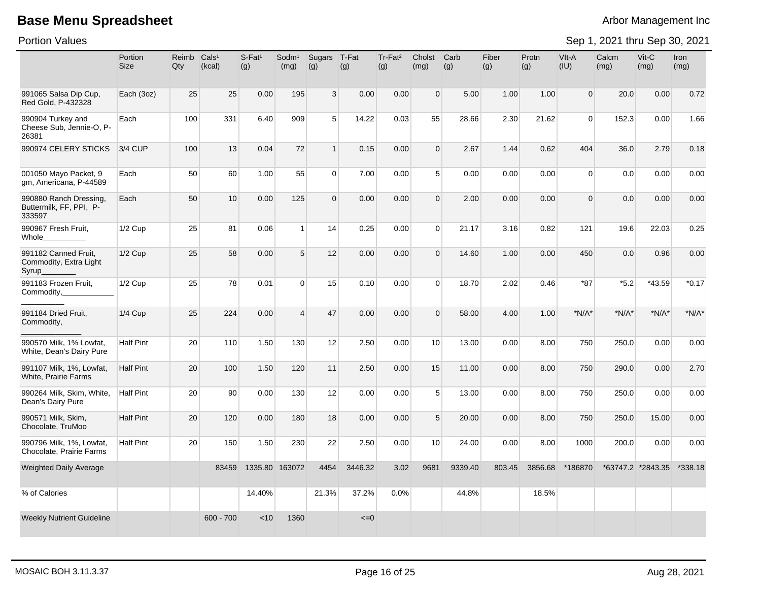Portion Values

|                                                             | Portion<br>Size  | Reimb<br>Qty | Cals <sup>1</sup><br>(kcal) | $S$ -Fat <sup>1</sup><br>(g) | Sodm <sup>1</sup><br>(mg) | Sugars<br>(g)  | T-Fat<br>(g) | Tr-Fat <sup>2</sup><br>(g) | Cholst<br>(mg) | Carb<br>(g) | Fiber<br>(g) | Protn<br>(q) | VIt-A<br>(IU)  | Calcm<br>(mg) | $Vit-C$<br>(mg)   | <b>Iron</b><br>(mg) |
|-------------------------------------------------------------|------------------|--------------|-----------------------------|------------------------------|---------------------------|----------------|--------------|----------------------------|----------------|-------------|--------------|--------------|----------------|---------------|-------------------|---------------------|
| 991065 Salsa Dip Cup,<br>Red Gold. P-432328                 | Each (3oz)       | 25           | 25                          | 0.00                         | 195                       | 3 <sup>1</sup> | 0.00         | 0.00                       | $\overline{0}$ | 5.00        | 1.00         | 1.00         | $\overline{0}$ | 20.0          | 0.00              | 0.72                |
| 990904 Turkey and<br>Cheese Sub, Jennie-O, P-<br>26381      | Each             | 100          | 331                         | 6.40                         | 909                       | 5 <sup>1</sup> | 14.22        | 0.03                       | 55             | 28.66       | 2.30         | 21.62        | $\Omega$       | 152.3         | 0.00              | 1.66                |
| 990974 CELERY STICKS                                        | 3/4 CUP          | 100          | 13                          | 0.04                         | 72                        | 1              | 0.15         | 0.00                       | $\Omega$       | 2.67        | 1.44         | 0.62         | 404            | 36.0          | 2.79              | 0.18                |
| 001050 Mayo Packet, 9<br>qm, Americana, P-44589             | Each             | 50           | 60                          | 1.00                         | 55                        | $\overline{0}$ | 7.00         | 0.00                       | 5 <sup>5</sup> | 0.00        | 0.00         | 0.00         | $\Omega$       | 0.0           | 0.00              | 0.00                |
| 990880 Ranch Dressing,<br>Buttermilk, FF, PPI, P-<br>333597 | Each             | 50           | 10                          | 0.00                         | 125                       | $\overline{0}$ | 0.00         | 0.00                       | $\Omega$       | 2.00        | 0.00         | 0.00         | $\Omega$       | 0.0           | 0.00              | 0.00                |
| 990967 Fresh Fruit,<br>Whole                                | 1/2 Cup          | 25           | 81                          | 0.06                         | $\mathbf{1}$              | 14             | 0.25         | 0.00                       | $\Omega$       | 21.17       | 3.16         | 0.82         | 121            | 19.6          | 22.03             | 0.25                |
| 991182 Canned Fruit,<br>Commodity, Extra Light<br>Syrup     | 1/2 Cup          | 25           | 58                          | 0.00                         | 5 <sup>5</sup>            | 12             | 0.00         | 0.00                       | $\Omega$       | 14.60       | 1.00         | 0.00         | 450            | 0.0           | 0.96              | 0.00                |
| 991183 Frozen Fruit.<br>Commodity,                          | $1/2$ Cup        | 25           | 78                          | 0.01                         | $\Omega$                  | 15             | 0.10         | 0.00                       | $\Omega$       | 18.70       | 2.02         | 0.46         | $*87$          | $*5.2$        | *43.59            | $*0.17$             |
| 991184 Dried Fruit,<br>Commodity,                           | $1/4$ Cup        | 25           | 224                         | 0.00                         | $\overline{4}$            | 47             | 0.00         | 0.00                       | $\Omega$       | 58.00       | 4.00         | 1.00         | $*N/A*$        | $*N/A*$       | $*N/A*$           | $*N/A*$             |
| 990570 Milk, 1% Lowfat,<br>White, Dean's Dairy Pure         | <b>Half Pint</b> | 20           | 110                         | 1.50                         | 130                       | 12             | 2.50         | 0.00                       | 10             | 13.00       | 0.00         | 8.00         | 750            | 250.0         | 0.00              | 0.00                |
| 991107 Milk, 1%, Lowfat,<br>White, Prairie Farms            | <b>Half Pint</b> | 20           | 100                         | 1.50                         | 120                       | 11             | 2.50         | 0.00                       | 15             | 11.00       | 0.00         | 8.00         | 750            | 290.0         | 0.00              | 2.70                |
| 990264 Milk, Skim, White,<br>Dean's Dairy Pure              | <b>Half Pint</b> | 20           | 90                          | 0.00                         | 130                       | 12             | 0.00         | 0.00                       | 5 <sup>5</sup> | 13.00       | 0.00         | 8.00         | 750            | 250.0         | 0.00              | 0.00                |
| 990571 Milk, Skim,<br>Chocolate, TruMoo                     | <b>Half Pint</b> | 20           | 120                         | 0.00                         | 180                       | 18             | 0.00         | 0.00                       | 5              | 20.00       | 0.00         | 8.00         | 750            | 250.0         | 15.00             | 0.00                |
| 990796 Milk, 1%, Lowfat,<br>Chocolate, Prairie Farms        | <b>Half Pint</b> | 20           | 150                         | 1.50                         | 230                       | 22             | 2.50         | 0.00                       | 10             | 24.00       | 0.00         | 8.00         | 1000           | 200.0         | 0.00              | 0.00                |
| <b>Weighted Daily Average</b>                               |                  |              | 83459                       | 1335.80 163072               |                           | 4454           | 3446.32      | 3.02                       | 9681           | 9339.40     | 803.45       | 3856.68      | *186870        |               | *63747.2 *2843.35 | *338.18             |
| % of Calories                                               |                  |              |                             | 14.40%                       |                           | 21.3%          | 37.2%        | 0.0%                       |                | 44.8%       |              | 18.5%        |                |               |                   |                     |
| <b>Weekly Nutrient Guideline</b>                            |                  |              | $600 - 700$                 | < 10                         | 1360                      |                | $\leq=0$     |                            |                |             |              |              |                |               |                   |                     |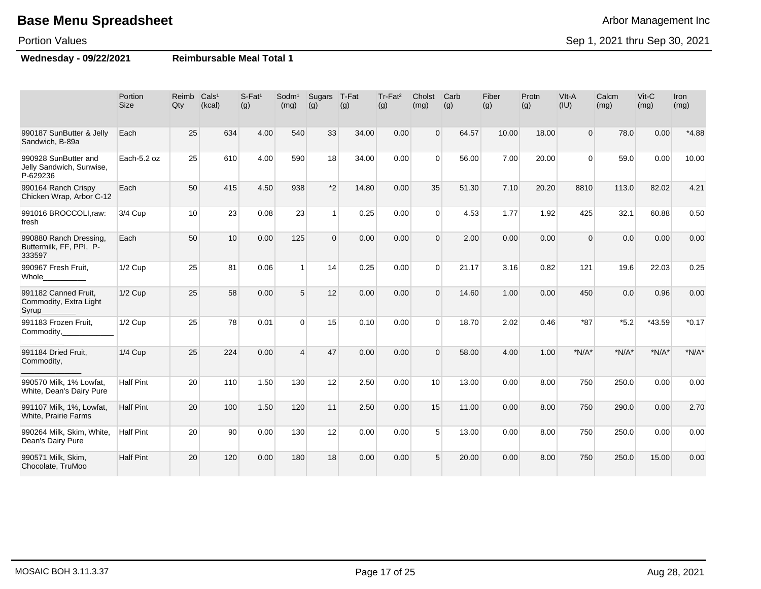#### Portion Values

**Wednesday - 09/22/2021 Reimbursable Meal Total 1**

|                                                              | Portion<br><b>Size</b> | Reimb Cals <sup>1</sup><br>Qty | (kcal) | S-Fat <sup>1</sup><br>(g) | Sodm <sup>1</sup><br>(mg) | Sugars<br>(g)  | T-Fat<br>(g) | Tr-Fat <sup>2</sup><br>(g) | Cholst<br>(mg) | Carb<br>(g) | Fiber<br>(g) | Protn<br>(g) | VIt-A<br>(IU)  | Calcm<br>(mg) | Vit-C<br>(mg) | Iron<br>(mg) |
|--------------------------------------------------------------|------------------------|--------------------------------|--------|---------------------------|---------------------------|----------------|--------------|----------------------------|----------------|-------------|--------------|--------------|----------------|---------------|---------------|--------------|
| 990187 SunButter & Jelly<br>Sandwich, B-89a                  | Each                   | 25                             | 634    | 4.00                      | 540                       | 33             | 34.00        | 0.00                       | $\Omega$       | 64.57       | 10.00        | 18.00        | $\overline{0}$ | 78.0          | 0.00          | $*4.88$      |
| 990928 SunButter and<br>Jelly Sandwich, Sunwise,<br>P-629236 | Each-5.2 oz            | 25                             | 610    | 4.00                      | 590                       | 18             | 34.00        | 0.00                       | $\Omega$       | 56.00       | 7.00         | 20.00        | $\Omega$       | 59.0          | 0.00          | 10.00        |
| 990164 Ranch Crispy<br>Chicken Wrap, Arbor C-12              | Each                   | 50                             | 415    | 4.50                      | 938                       | $*2$           | 14.80        | 0.00                       | 35             | 51.30       | 7.10         | 20.20        | 8810           | 113.0         | 82.02         | 4.21         |
| 991016 BROCCOLI, raw:<br>fresh                               | 3/4 Cup                | 10                             | 23     | 0.08                      | 23                        | 1 <sup>1</sup> | 0.25         | 0.00                       | $\Omega$       | 4.53        | 1.77         | 1.92         | 425            | 32.1          | 60.88         | 0.50         |
| 990880 Ranch Dressing.<br>Buttermilk, FF, PPI, P-<br>333597  | Each                   | 50                             | 10     | 0.00                      | 125                       | $\overline{0}$ | 0.00         | 0.00                       | $\Omega$       | 2.00        | 0.00         | 0.00         | $\Omega$       | 0.0           | 0.00          | 0.00         |
| 990967 Fresh Fruit,<br>Whole                                 | $1/2$ Cup              | 25                             | 81     | 0.06                      | $\overline{1}$            | 14             | 0.25         | 0.00                       | $\Omega$       | 21.17       | 3.16         | 0.82         | 121            | 19.6          | 22.03         | 0.25         |
| 991182 Canned Fruit,<br>Commodity, Extra Light<br>Syrup      | 1/2 Cup                | 25                             | 58     | 0.00                      | 5                         | 12             | 0.00         | 0.00                       | $\Omega$       | 14.60       | 1.00         | 0.00         | 450            | 0.0           | 0.96          | 0.00         |
| 991183 Frozen Fruit,<br>Commodity,                           | $1/2$ Cup              | 25                             | 78     | 0.01                      | $\Omega$                  | 15             | 0.10         | 0.00                       | $\Omega$       | 18.70       | 2.02         | 0.46         | $*87$          | $*5.2$        | *43.59        | $*0.17$      |
| 991184 Dried Fruit,<br>Commodity,                            | <b>1/4 Cup</b>         | 25                             | 224    | 0.00                      | $\overline{4}$            | 47             | 0.00         | 0.00                       | $\Omega$       | 58.00       | 4.00         | 1.00         | $*N/A*$        | $*N/A*$       | $*N/A*$       | $*N/A*$      |
| 990570 Milk, 1% Lowfat,<br>White, Dean's Dairy Pure          | <b>Half Pint</b>       | 20                             | 110    | 1.50                      | 130                       | 12             | 2.50         | 0.00                       | 10             | 13.00       | 0.00         | 8.00         | 750            | 250.0         | 0.00          | 0.00         |
| 991107 Milk, 1%, Lowfat,<br>White, Prairie Farms             | <b>Half Pint</b>       | 20                             | 100    | 1.50                      | 120                       | 11             | 2.50         | 0.00                       | 15             | 11.00       | 0.00         | 8.00         | 750            | 290.0         | 0.00          | 2.70         |
| 990264 Milk, Skim, White,<br>Dean's Dairy Pure               | <b>Half Pint</b>       | 20                             | 90     | 0.00                      | 130                       | 12             | 0.00         | 0.00                       | 5              | 13.00       | 0.00         | 8.00         | 750            | 250.0         | 0.00          | 0.00         |
| 990571 Milk, Skim,<br>Chocolate, TruMoo                      | <b>Half Pint</b>       | 20                             | 120    | 0.00                      | 180                       | 18             | 0.00         | 0.00                       | 5              | 20.00       | 0.00         | 8.00         | 750            | 250.0         | 15.00         | 0.00         |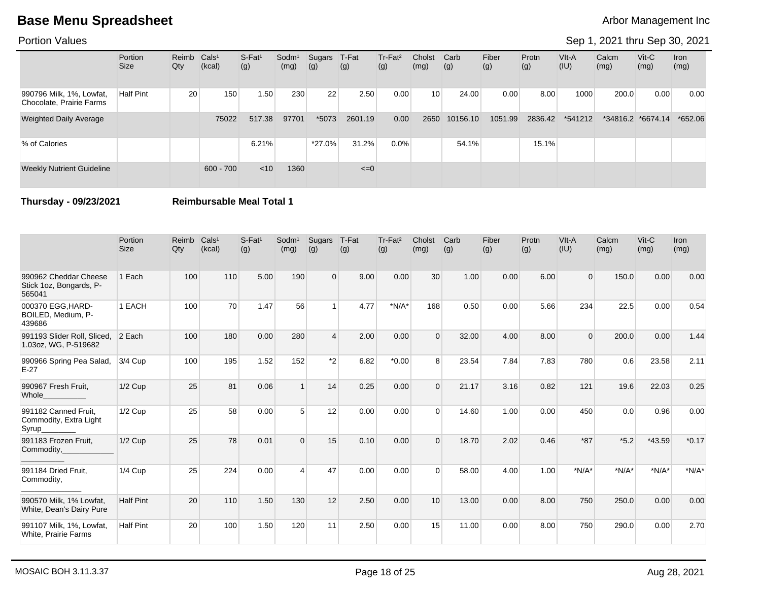### Portion Values

### Sep 1, 2021 thru Sep 30, 2021

|                                                      | Portion<br><b>Size</b> | Reimb Cals <sup>1</sup><br>Qty | (kcal)      | $S-Fat1$<br>(g) | Sodm <sup>1</sup><br>(mg) | Sugars<br>(g) | T-Fat<br>(g) | Tr-Fat <sup>2</sup><br>(g) | Cholst<br>(mg)  | Carb<br>(g) | Fiber<br>(g) | Protn<br>(g) | VIt-A<br>(IU) | Calcm<br>(mg) | $V$ it-C<br>(mg)  | <b>Iron</b><br>(mg) |
|------------------------------------------------------|------------------------|--------------------------------|-------------|-----------------|---------------------------|---------------|--------------|----------------------------|-----------------|-------------|--------------|--------------|---------------|---------------|-------------------|---------------------|
| 990796 Milk, 1%, Lowfat,<br>Chocolate, Prairie Farms | <b>Half Pint</b>       | 20                             | 150         | 1.50            | 230                       | 22            | 2.50         | 0.00                       | 10 <sup>1</sup> | 24.00       | 0.00         | 8.00         | 1000          | 200.0         | 0.00              | 0.00                |
| <b>Weighted Daily Average</b>                        |                        |                                | 75022       | 517.38          | 97701                     | *5073         | 2601.19      | 0.00                       | 2650            | 10156.10    | 1051.99      | 2836.42      | *541212       |               | *34816.2 *6674.14 | *652.06             |
| % of Calories                                        |                        |                                |             | 6.21%           |                           | $*27.0\%$     | 31.2%        | $0.0\%$                    |                 | 54.1%       |              | 15.1%        |               |               |                   |                     |
| <b>Weekly Nutrient Guideline</b>                     |                        |                                | $600 - 700$ | $<$ 10          | 1360                      |               | $\leq=0$     |                            |                 |             |              |              |               |               |                   |                     |

**Thursday - 09/23/2021 Reimbursable Meal Total 1**

|                                                            | Portion<br><b>Size</b> | Reimb<br>Qty | Cals <sup>1</sup><br>(kcal) | $S-Fat1$<br>(g) | Sodm <sup>1</sup><br>(mg) | Sugars<br>(g) | T-Fat<br>(g) | Tr-Fat <sup>2</sup><br>(g) | Cholst<br>(mg) | Carb<br>(g) | Fiber<br>(g) | Protn<br>(g) | VIt-A<br>(IU) | Calcm<br>(mg) | Vit-C<br>(mg) | Iron<br>(mg) |
|------------------------------------------------------------|------------------------|--------------|-----------------------------|-----------------|---------------------------|---------------|--------------|----------------------------|----------------|-------------|--------------|--------------|---------------|---------------|---------------|--------------|
| 990962 Cheddar Cheese<br>Stick 1oz, Bongards, P-<br>565041 | 1 Each                 | 100          | 110                         | 5.00            | 190                       | $\Omega$      | 9.00         | 0.00                       | 30             | 1.00        | 0.00         | 6.00         | $\Omega$      | 150.0         | 0.00          | 0.00         |
| 000370 EGG.HARD-<br>BOILED, Medium, P-<br>439686           | 1 EACH                 | 100          | 70                          | 1.47            | 56                        |               | 4.77         | $*N/A*$                    | 168            | 0.50        | 0.00         | 5.66         | 234           | 22.5          | 0.00          | 0.54         |
| 991193 Slider Roll, Sliced,<br>1.03oz, WG, P-519682        | 2 Each                 | 100          | 180                         | 0.00            | 280                       | $\Delta$      | 2.00         | 0.00                       | $\Omega$       | 32.00       | 4.00         | 8.00         | $\Omega$      | 200.0         | 0.00          | 1.44         |
| 990966 Spring Pea Salad,<br>$E-27$                         | 3/4 Cup                | 100          | 195                         | 1.52            | 152                       | $*_{2}$       | 6.82         | $*0.00$                    | 8              | 23.54       | 7.84         | 7.83         | 780           | 0.6           | 23.58         | 2.11         |
| 990967 Fresh Fruit,<br>Whole                               | $1/2$ Cup              | 25           | 81                          | 0.06            |                           | 14            | 0.25         | 0.00                       | $\Omega$       | 21.17       | 3.16         | 0.82         | 121           | 19.6          | 22.03         | 0.25         |
| 991182 Canned Fruit.<br>Commodity, Extra Light<br>Syrup_   | $1/2$ Cup              | 25           | 58                          | 0.00            | 5                         | 12            | 0.00         | 0.00                       | $\Omega$       | 14.60       | 1.00         | 0.00         | 450           | 0.0           | 0.96          | 0.00         |
| 991183 Frozen Fruit,<br>Commodity,                         | $1/2$ Cup              | 25           | 78                          | 0.01            | $\Omega$                  | 15            | 0.10         | 0.00                       | $\Omega$       | 18.70       | 2.02         | 0.46         | $*87$         | $*5.2$        | *43.59        | $*0.17$      |
| 991184 Dried Fruit,<br>Commodity,                          | $1/4$ Cup              | 25           | 224                         | 0.00            | $\boldsymbol{\Lambda}$    | 47            | 0.00         | 0.00                       | $\Omega$       | 58.00       | 4.00         | 1.00         | $*N/A*$       | $*N/A*$       | $*N/A*$       | $*N/A*$      |
| 990570 Milk, 1% Lowfat,<br>White, Dean's Dairy Pure        | <b>Half Pint</b>       | 20           | 110                         | 1.50            | 130                       | 12            | 2.50         | 0.00                       | 10             | 13.00       | 0.00         | 8.00         | 750           | 250.0         | 0.00          | 0.00         |
| 991107 Milk, 1%, Lowfat,<br>White, Prairie Farms           | <b>Half Pint</b>       | 20           | 100                         | 1.50            | 120                       | 11            | 2.50         | 0.00                       | 15             | 11.00       | 0.00         | 8.00         | 750           | 290.0         | 0.00          | 2.70         |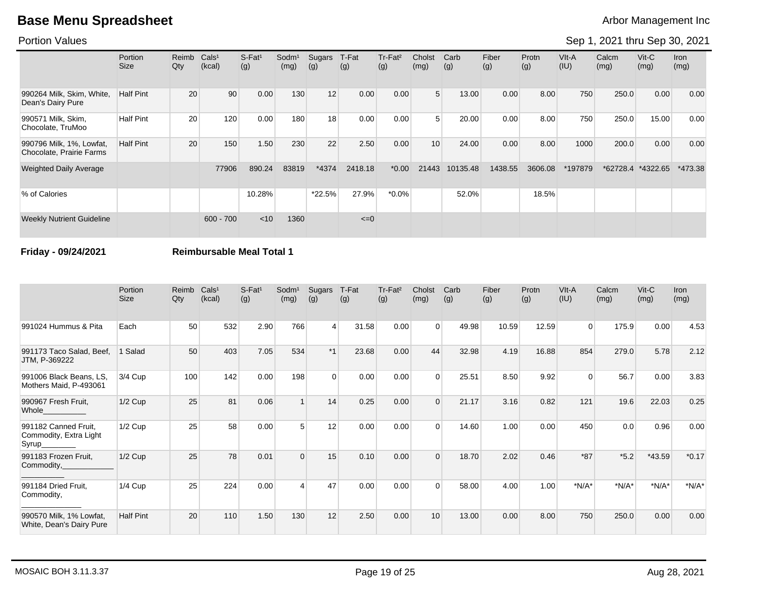### Portion Values

# Sep 1, 2021 thru Sep 30, 2021

|                                                      | <b>Portion</b><br>Size | Reimb<br>Qty | Cals <sup>1</sup><br>(kcal) | S-Fat <sup>1</sup><br>(g) | Sodm <sup>1</sup><br>(mg) | Sugars<br>(g) | T-Fat<br>(g) | Tr-Fat <sup>2</sup><br>(g) | Cholst<br>(mg) | Carb<br>(g) | Fiber<br>(g) | Protn<br>(g) | $V$ lt-A<br>(IU) | Calcm<br>(mg) | $V$ it-C<br>(mg) | Iron<br>(mg) |
|------------------------------------------------------|------------------------|--------------|-----------------------------|---------------------------|---------------------------|---------------|--------------|----------------------------|----------------|-------------|--------------|--------------|------------------|---------------|------------------|--------------|
| 990264 Milk, Skim, White,<br>Dean's Dairy Pure       | <b>Half Pint</b>       | 20           | 90                          | 0.00                      | 130                       | 12            | 0.00         | 0.00                       | 5 <sup>1</sup> | 13.00       | 0.00         | 8.00         | 750              | 250.0         | 0.00             | 0.00         |
| 990571 Milk, Skim,<br>Chocolate, TruMoo              | <b>Half Pint</b>       | 20           | 120                         | 0.00                      | 180                       | 18            | 0.00         | 0.00                       | 5              | 20.00       | 0.00         | 8.00         | 750              | 250.0         | 15.00            | 0.00         |
| 990796 Milk, 1%, Lowfat,<br>Chocolate, Prairie Farms | <b>Half Pint</b>       | 20           | 150                         | 1.50                      | 230                       | 22            | 2.50         | 0.00                       | 10             | 24.00       | 0.00         | 8.00         | 1000             | 200.0         | 0.00             | 0.00         |
| <b>Weighted Daily Average</b>                        |                        |              | 77906                       | 890.24                    | 83819                     | *4374         | 2418.18      | $*0.00$                    | 21443          | 10135.48    | 1438.55      | 3606.08      | 197879*          | *62728.4      | *4322.65         | $*473.38$    |
| % of Calories                                        |                        |              |                             | 10.28%                    |                           | $*22.5%$      | 27.9%        | $*0.0\%$                   |                | 52.0%       |              | 18.5%        |                  |               |                  |              |
| <b>Weekly Nutrient Guideline</b>                     |                        |              | $600 - 700$                 | < 10                      | 1360                      |               | $\leq=0$     |                            |                |             |              |              |                  |               |                  |              |

### **Friday - 09/24/2021 Reimbursable Meal Total 1**

|                                                          | Portion<br><b>Size</b> | Reimb<br>$Q$ ty | Cals <sup>1</sup><br>(kcal) | S-Fat <sup>1</sup><br>(g) | Sodm <sup>1</sup><br>(mg) | Sugars<br>(g) | T-Fat<br>(g) | Tr-Fat <sup>2</sup><br>(g) | Cholst<br>(mg) | Carb<br>(g) | Fiber<br>(g) | Protn<br>(g) | VIt-A<br>(IU) | Calcm<br>(mg) | $V$ it- $C$<br>(mg) | Iron<br>(mg) |
|----------------------------------------------------------|------------------------|-----------------|-----------------------------|---------------------------|---------------------------|---------------|--------------|----------------------------|----------------|-------------|--------------|--------------|---------------|---------------|---------------------|--------------|
| 991024 Hummus & Pita                                     | Each                   | 50              | 532                         | 2.90                      | 766                       | 4             | 31.58        | 0.00                       | $\Omega$       | 49.98       | 10.59        | 12.59        | $\Omega$      | 175.9         | 0.00                | 4.53         |
| 991173 Taco Salad, Beef,<br>JTM, P-369222                | 1 Salad                | 50              | 403                         | 7.05                      | 534                       | $*1$          | 23.68        | 0.00                       | 44             | 32.98       | 4.19         | 16.88        | 854           | 279.0         | 5.78                | 2.12         |
| 991006 Black Beans, LS,<br>Mothers Maid, P-493061        | 3/4 Cup                | 100             | 142                         | 0.00                      | 198                       | $\Omega$      | 0.00         | 0.00                       | $\Omega$       | 25.51       | 8.50         | 9.92         | 0             | 56.7          | 0.00                | 3.83         |
| 990967 Fresh Fruit,<br>Whole_                            | $1/2$ Cup              | 25              | 81                          | 0.06                      |                           | 14            | 0.25         | 0.00                       | $\Omega$       | 21.17       | 3.16         | 0.82         | 121           | 19.6          | 22.03               | 0.25         |
| 991182 Canned Fruit,<br>Commodity, Extra Light<br>Syrup_ | $1/2$ Cup              | 25              | 58                          | 0.00                      | 5                         | 12            | 0.00         | 0.00                       | $\Omega$       | 14.60       | 1.00         | 0.00         | 450           | 0.0           | 0.96                | 0.00         |
| 991183 Frozen Fruit,<br>Commodity,                       | $1/2$ Cup              | 25              | 78                          | 0.01                      | $\Omega$                  | 15            | 0.10         | 0.00                       |                | 18.70       | 2.02         | 0.46         | $*87$         | $*5.2$        | $*43.59$            | $*0.17$      |
| 991184 Dried Fruit.<br>Commodity,                        | $1/4$ Cup              | 25              | 224                         | 0.00                      | 4                         | 47            | 0.00         | 0.00                       | $\Omega$       | 58.00       | 4.00         | 1.00         | $*N/A*$       | $*N/A*$       | $*N/A*$             | $*N/A*$      |
| 990570 Milk, 1% Lowfat,<br>White, Dean's Dairy Pure      | <b>Half Pint</b>       | 20              | 110                         | 1.50                      | 130                       | 12            | 2.50         | 0.00                       | 10             | 13.00       | 0.00         | 8.00         | 750           | 250.0         | 0.00                | 0.00         |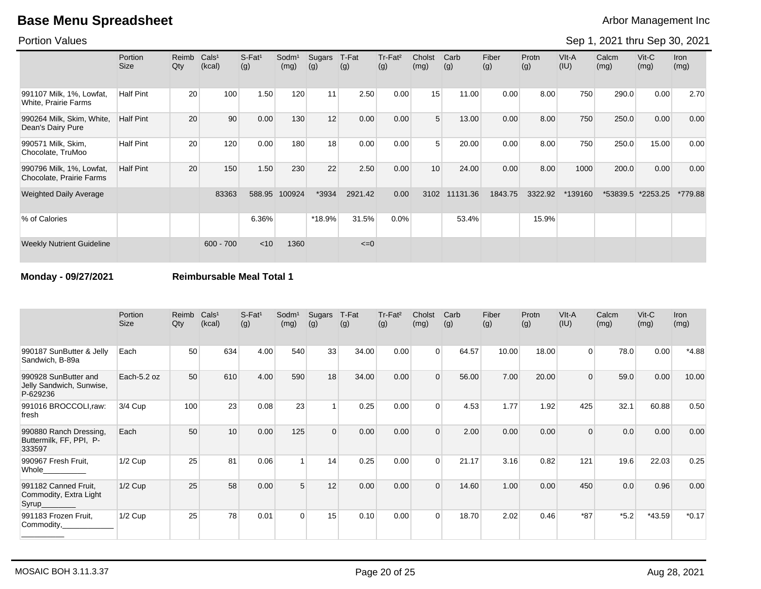Portion Values

Sep 1, 2021 thru Sep 30, 2021

|                                                      | <b>Portion</b><br><b>Size</b> | Reimb<br>Qty | Cals <sup>1</sup><br>(kcal) | $S-Fat1$<br>(g) | Sodm <sup>1</sup><br>(mg) | Sugars<br>(g) | T-Fat<br>(g) | Tr-Fat <sup>2</sup><br>(g) | Cholst<br>(mg) | Carb<br>(g) | Fiber<br>(g) | Protn<br>(g) | VIt-A<br>(IU) | Calcm<br>(mg) | $V$ it-C<br>(mg) | Iron<br>(mg) |
|------------------------------------------------------|-------------------------------|--------------|-----------------------------|-----------------|---------------------------|---------------|--------------|----------------------------|----------------|-------------|--------------|--------------|---------------|---------------|------------------|--------------|
| 991107 Milk, 1%, Lowfat,<br>White, Prairie Farms     | <b>Half Pint</b>              | 20           | 100                         | 1.50            | 120                       | 11            | 2.50         | 0.00                       | 15             | 11.00       | 0.00         | 8.00         | 750           | 290.0         | 0.00             | 2.70         |
| 990264 Milk, Skim, White,<br>Dean's Dairy Pure       | <b>Half Pint</b>              | 20           | 90                          | 0.00            | 130                       | 12            | 0.00         | 0.00                       | 5              | 13.00       | 0.00         | 8.00         | 750           | 250.0         | 0.00             | 0.00         |
| 990571 Milk, Skim,<br>Chocolate, TruMoo              | <b>Half Pint</b>              | 20           | 120                         | 0.00            | 180                       | 18            | 0.00         | 0.00                       | 5              | 20.00       | 0.00         | 8.00         | 750           | 250.0         | 15.00            | 0.00         |
| 990796 Milk, 1%, Lowfat,<br>Chocolate, Prairie Farms | <b>Half Pint</b>              | 20           | 150                         | 1.50            | 230                       | 22            | 2.50         | 0.00                       | 10             | 24.00       | 0.00         | 8.00         | 1000          | 200.0         | 0.00             | 0.00         |
| <b>Weighted Daily Average</b>                        |                               |              | 83363                       | 588.95          | 100924                    | *3934         | 2921.42      | 0.00                       | 3102           | 11131.36    | 1843.75      | 3322.92      | *139160       | *53839.5      | *2253.25         | *779.88      |
| % of Calories                                        |                               |              |                             | 6.36%           |                           | $*18.9%$      | 31.5%        | 0.0%                       |                | 53.4%       |              | 15.9%        |               |               |                  |              |
| <b>Weekly Nutrient Guideline</b>                     |                               |              | $600 - 700$                 | < 10            | 1360                      |               | $\leq=0$     |                            |                |             |              |              |               |               |                  |              |

**Monday - 09/27/2021 Reimbursable Meal Total 1**

|                                                              | Portion<br><b>Size</b> | Reimb<br>Qty | Cals <sup>1</sup><br>(kcal) | $S-Fat1$<br>(g) | Sodm <sup>1</sup><br>(mg) | Sugars<br>(g) | T-Fat<br>(g) | Tr-Fat <sup>2</sup><br>(g) | Cholst<br>(mg) | Carb<br>(g) | Fiber<br>(g) | Protn<br>(g) | VIt-A<br>(IU) | Calcm<br>(mg) | $V$ it-C<br>(mg) | Iron<br>(mg) |
|--------------------------------------------------------------|------------------------|--------------|-----------------------------|-----------------|---------------------------|---------------|--------------|----------------------------|----------------|-------------|--------------|--------------|---------------|---------------|------------------|--------------|
| 990187 SunButter & Jelly<br>Sandwich, B-89a                  | Each                   | 50           | 634                         | 4.00            | 540                       | 33            | 34.00        | 0.00                       | $\Omega$       | 64.57       | 10.00        | 18.00        | $\Omega$      | 78.0          | 0.00             | $*4.88$      |
| 990928 SunButter and<br>Jelly Sandwich, Sunwise,<br>P-629236 | Each-5.2 oz            | 50           | 610                         | 4.00            | 590                       | 18            | 34.00        | 0.00                       | 0              | 56.00       | 7.00         | 20.00        | $\Omega$      | 59.0          | 0.00             | 10.00        |
| 991016 BROCCOLI,raw:<br>fresh                                | 3/4 Cup                | 100          | 23                          | 0.08            | 23                        |               | 0.25         | 0.00                       | $\Omega$       | 4.53        | 1.77         | 1.92         | 425           | 32.1          | 60.88            | 0.50         |
| 990880 Ranch Dressing,<br>Buttermilk, FF, PPI, P-<br>333597  | Each                   | 50           | 10 <sup>1</sup>             | 0.00            | 125                       | $\Omega$      | 0.00         | 0.00                       | 0              | 2.00        | 0.00         | 0.00         | $\Omega$      | 0.0           | 0.00             | 0.00         |
| 990967 Fresh Fruit,<br>Whole                                 | $1/2$ Cup              | 25           | 81                          | 0.06            |                           | 14            | 0.25         | 0.00                       | $\Omega$       | 21.17       | 3.16         | 0.82         | 121           | 19.6          | 22.03            | 0.25         |
| 991182 Canned Fruit,<br>Commodity, Extra Light<br>Syrup_     | $1/2$ Cup              | 25           | 58                          | 0.00            | 5                         | 12            | 0.00         | 0.00                       | $\Omega$       | 14.60       | 1.00         | 0.00         | 450           | 0.0           | 0.96             | 0.00         |
| 991183 Frozen Fruit,<br>Commodity,                           | $1/2$ Cup              | 25           | 78                          | 0.01            | $\Omega$                  | 15            | 0.10         | 0.00                       | $\Omega$       | 18.70       | 2.02         | 0.46         | $*87$         | $*5.2$        | $*43.59$         | $*0.17$      |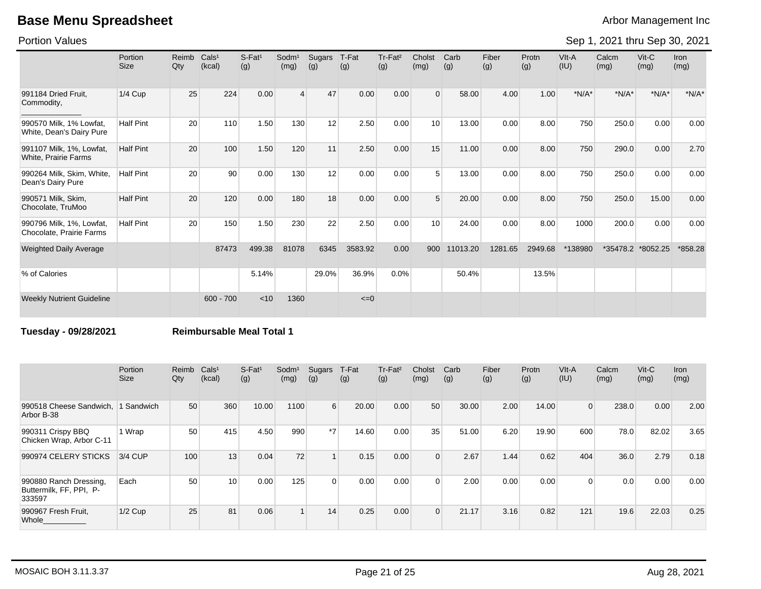Portion Values

Sep 1, 2021 thru Sep 30, 2021

|                                                         | Portion<br><b>Size</b> | Reimb<br>Qty | Cals <sup>1</sup><br>(kcal) | S-Fat <sup>1</sup><br>(g) | $S$ odm $1$<br>(mg) | Sugars<br>(g) | T-Fat<br>(g) | Tr-Fat <sup>2</sup><br>(g) | Cholst<br>(mg) | Carb<br>(g) | Fiber<br>(g) | Protn<br>(g) | VIt-A<br>(IU) | Calcm<br>(mg) | $V$ it-C<br>(mg) | <b>Iron</b><br>(mg) |
|---------------------------------------------------------|------------------------|--------------|-----------------------------|---------------------------|---------------------|---------------|--------------|----------------------------|----------------|-------------|--------------|--------------|---------------|---------------|------------------|---------------------|
| 991184 Dried Fruit.<br>Commodity,                       | $1/4$ Cup              | 25           | 224                         | 0.00                      | $\overline{4}$      | 47            | 0.00         | 0.00                       | $\Omega$       | 58.00       | 4.00         | 1.00         | $*N/A*$       | $*N/A*$       | $*N/A*$          | $*N/A*$             |
| 990570 Milk, 1% Lowfat,<br>White, Dean's Dairy Pure     | <b>Half Pint</b>       | 20           | 110                         | 1.50                      | 130                 | 12            | 2.50         | 0.00                       | 10             | 13.00       | 0.00         | 8.00         | 750           | 250.0         | 0.00             | 0.00                |
| 991107 Milk, 1%, Lowfat,<br><b>White, Prairie Farms</b> | <b>Half Pint</b>       | 20           | 100                         | 1.50                      | 120                 | 11            | 2.50         | 0.00                       | 15             | 11.00       | 0.00         | 8.00         | 750           | 290.0         | 0.00             | 2.70                |
| 990264 Milk, Skim, White,<br>Dean's Dairy Pure          | <b>Half Pint</b>       | 20           | 90                          | 0.00                      | 130                 | 12            | 0.00         | 0.00                       |                | 13.00       | 0.00         | 8.00         | 750           | 250.0         | 0.00             | 0.00                |
| 990571 Milk, Skim,<br>Chocolate, TruMoo                 | <b>Half Pint</b>       | 20           | 120                         | 0.00                      | 180                 | 18            | 0.00         | 0.00                       | 5              | 20.00       | 0.00         | 8.00         | 750           | 250.0         | 15.00            | 0.00                |
| 990796 Milk, 1%, Lowfat,<br>Chocolate, Prairie Farms    | <b>Half Pint</b>       | 20           | 150                         | 1.50                      | 230                 | 22            | 2.50         | 0.00                       | 10             | 24.00       | 0.00         | 8.00         | 1000          | 200.0         | 0.00             | 0.00                |
| <b>Weighted Daily Average</b>                           |                        |              | 87473                       | 499.38                    | 81078               | 6345          | 3583.92      | 0.00                       | 900            | 11013.20    | 1281.65      | 2949.68      | *138980       | $*35478.2$    | *8052.25         | *858.28             |
| % of Calories                                           |                        |              |                             | 5.14%                     |                     | 29.0%         | 36.9%        | 0.0%                       |                | 50.4%       |              | 13.5%        |               |               |                  |                     |
| <b>Weekly Nutrient Guideline</b>                        |                        |              | $600 - 700$                 | < 10                      | 1360                |               | $\leq=0$     |                            |                |             |              |              |               |               |                  |                     |

**Tuesday - 09/28/2021 Reimbursable Meal Total 1**

|                                                             | Portion<br><b>Size</b> | Reimb<br>Qty | Cals <sup>1</sup><br>(kcal) | $S$ -Fat <sup>1</sup><br>(g) | Sodm <sup>1</sup><br>(mg) | Sugars<br>(g)    | T-Fat<br>(g) | Tr-Fat <sup>2</sup><br>(g) | Cholst<br>(mg) | Carb<br>(g) | Fiber<br>(g) | Protn<br>(g) | VIt-A<br>(IU)  | Calcm<br>(mg) | $Vit-C$<br>(mg) | Iron<br>(mg) |
|-------------------------------------------------------------|------------------------|--------------|-----------------------------|------------------------------|---------------------------|------------------|--------------|----------------------------|----------------|-------------|--------------|--------------|----------------|---------------|-----------------|--------------|
| 990518 Cheese Sandwich,<br>Arbor B-38                       | 1 Sandwich             | 50           | 360                         | 10.00                        | 1100                      | $6 \overline{6}$ | 20.00        | 0.00                       | 50             | 30.00       | 2.00         | 14.00        | $\overline{0}$ | 238.0         | 0.00            | 2.00         |
| 990311 Crispy BBQ<br>Chicken Wrap, Arbor C-11               | 1 Wrap                 | 50           | 415                         | 4.50                         | 990                       | $*7$             | 14.60        | 0.00                       | 35             | 51.00       | 6.20         | 19.90        | 600            | 78.0          | 82.02           | 3.65         |
| 990974 CELERY STICKS                                        | 3/4 CUP                | 100          | 13                          | 0.04                         | 72                        |                  | 0.15         | 0.00                       | $\Omega$       | 2.67        | 1.44         | 0.62         | 404            | 36.0          | 2.79            | 0.18         |
| 990880 Ranch Dressing,<br>Buttermilk, FF, PPI, P-<br>333597 | Each                   | 50           | 10                          | 0.00                         | 125                       | $\overline{0}$   | 0.00         | 0.00                       | $\Omega$       | 2.00        | 0.00         | 0.00         | $\Omega$       | 0.0           | 0.00            | 0.00         |
| 990967 Fresh Fruit,<br>Whole                                | $1/2$ Cup              | 25           | 81                          | 0.06                         |                           | 14               | 0.25         | 0.00                       | $\Omega$       | 21.17       | 3.16         | 0.82         | 121            | 19.6          | 22.03           | 0.25         |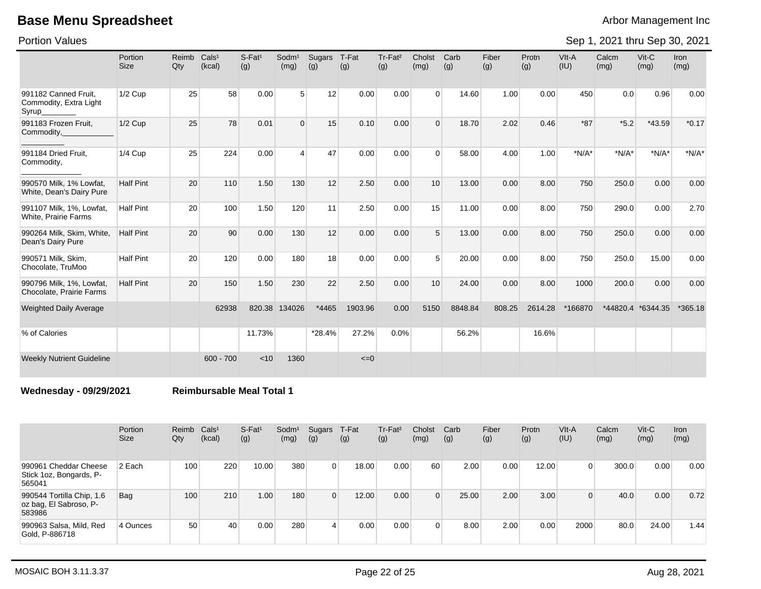Portion Values

Sep 1, 2021 thru Sep 30, 2021

|                                                         | Portion<br><b>Size</b> | Reimb<br>Qty | Cals <sup>1</sup><br>(kcal) | $S$ -Fat <sup>1</sup><br>(g) | Sodm <sup>1</sup><br>(mg) | Sugars<br>(g) | T-Fat<br>(g) | Tr-Fat <sup>2</sup><br>(g) | Cholst<br>(mg) | Carb<br>(g) | Fiber<br>(g) | Protn<br>(g) | VIt-A<br>(IU) | Calcm<br>(mg) | Vit-C<br>(mg) | <b>Iron</b><br>(mg) |
|---------------------------------------------------------|------------------------|--------------|-----------------------------|------------------------------|---------------------------|---------------|--------------|----------------------------|----------------|-------------|--------------|--------------|---------------|---------------|---------------|---------------------|
| 991182 Canned Fruit.<br>Commodity, Extra Light<br>Syrup | $1/2$ Cup              | 25           | 58                          | 0.00                         | $5\overline{)}$           | 12            | 0.00         | 0.00                       | $\Omega$       | 14.60       | 1.00         | 0.00         | 450           | 0.0           | 0.96          | 0.00                |
| 991183 Frozen Fruit,<br>Commodity,                      | $1/2$ Cup              | 25           | 78                          | 0.01                         | $\Omega$                  | 15            | 0.10         | 0.00                       | $\Omega$       | 18.70       | 2.02         | 0.46         | $*87$         | $*5.2$        | *43.59        | $*0.17$             |
| 991184 Dried Fruit,<br>Commodity,                       | $1/4$ Cup              | 25           | 224                         | 0.00                         | $\overline{4}$            | 47            | 0.00         | 0.00                       | $\Omega$       | 58.00       | 4.00         | 1.00         | $*N/A*$       | $*N/A*$       | $*N/A*$       | $*N/A*$             |
| 990570 Milk, 1% Lowfat,<br>White, Dean's Dairy Pure     | <b>Half Pint</b>       | 20           | 110                         | 1.50                         | 130                       | 12            | 2.50         | 0.00                       | 10             | 13.00       | 0.00         | 8.00         | 750           | 250.0         | 0.00          | 0.00                |
| 991107 Milk, 1%, Lowfat,<br>White, Prairie Farms        | <b>Half Pint</b>       | 20           | 100                         | 1.50                         | 120                       | 11            | 2.50         | 0.00                       | 15             | 11.00       | 0.00         | 8.00         | 750           | 290.0         | 0.00          | 2.70                |
| 990264 Milk, Skim, White,<br>Dean's Dairy Pure          | <b>Half Pint</b>       | 20           | 90                          | 0.00                         | 130                       | 12            | 0.00         | 0.00                       | 5 <sup>5</sup> | 13.00       | 0.00         | 8.00         | 750           | 250.0         | 0.00          | 0.00                |
| 990571 Milk, Skim,<br>Chocolate, TruMoo                 | <b>Half Pint</b>       | 20           | 120                         | 0.00                         | 180                       | 18            | 0.00         | 0.00                       | 5              | 20.00       | 0.00         | 8.00         | 750           | 250.0         | 15.00         | 0.00                |
| 990796 Milk, 1%, Lowfat,<br>Chocolate, Prairie Farms    | <b>Half Pint</b>       | 20           | 150                         | 1.50                         | 230                       | 22            | 2.50         | 0.00                       | 10             | 24.00       | 0.00         | 8.00         | 1000          | 200.0         | 0.00          | 0.00                |
| <b>Weighted Daily Average</b>                           |                        |              | 62938                       | 820.38                       | 134026                    | *4465         | 1903.96      | 0.00                       | 5150           | 8848.84     | 808.25       | 2614.28      | *166870       | *44820.4      | *6344.35      | $*365.18$           |
| % of Calories                                           |                        |              |                             | 11.73%                       |                           | $*28.4%$      | 27.2%        | 0.0%                       |                | 56.2%       |              | 16.6%        |               |               |               |                     |
| <b>Weekly Nutrient Guideline</b>                        |                        |              | $600 - 700$                 | < 10                         | 1360                      |               | $\leq=0$     |                            |                |             |              |              |               |               |               |                     |

**Wednesday - 09/29/2021 Reimbursable Meal Total 1**

|                                                               | Portion<br><b>Size</b> | Reimb Cals <sup>1</sup><br>Qty | (kcal) | S-Fat <sup>1</sup><br>(g) | Sodm <sup>1</sup><br>(mg) | Sugars<br>(g)  | T-Fat<br>(g) | Tr-Fat <sup>2</sup><br>(g) | Cholst<br>(mg) | Carb<br>(g) | Fiber<br>(g) | Protn<br>(g) | VIt-A<br>(IU) | Calcm<br>(mg) | $V$ it- $C$<br>(mg) | <b>Iron</b><br>(mg) |
|---------------------------------------------------------------|------------------------|--------------------------------|--------|---------------------------|---------------------------|----------------|--------------|----------------------------|----------------|-------------|--------------|--------------|---------------|---------------|---------------------|---------------------|
| 990961 Cheddar Cheese<br>Stick 1oz, Bongards, P-<br>565041    | 2 Each                 | 100                            | 220    | 10.00                     | 380                       | $\overline{0}$ | 18.00        | 0.00                       | 60             | 2.00        | 0.00         | 12.00        | $\Omega$      | 300.0         | 0.00                | 0.00                |
| 990544 Tortilla Chip, 1.6<br>oz bag, El Sabroso, P-<br>583986 | Bag                    | 100                            | 210    | 1.00                      | 180                       | $\overline{0}$ | 12.00        | 0.00                       | $\Omega$       | 25.00       | 2.00         | 3.00         | $\Omega$      | 40.0          | 0.00                | 0.72                |
| 990963 Salsa, Mild, Red<br>Gold, P-886718                     | 4 Ounces               | 50                             | 40     | 0.00                      | 280                       | 4              | 0.00         | 0.00                       |                | 8.00        | 2.00         | 0.00         | 2000          | 80.0          | 24.00               | 1.44                |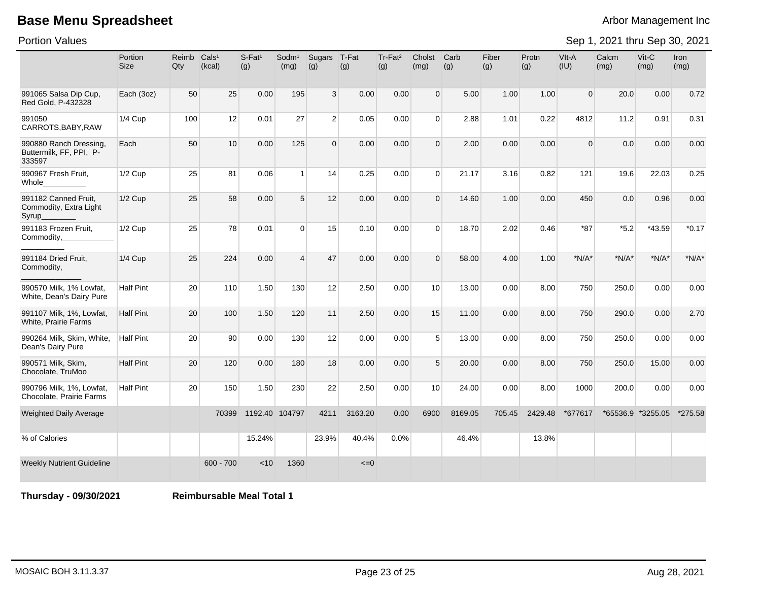Portion Values

Sep 1, 2021 thru Sep 30, 2021

|                                                             | Portion<br><b>Size</b> | Reimb<br>Qty | Cals <sup>1</sup><br>(kcal) | $S$ -Fat <sup>1</sup><br>(g) | Sodm <sup>1</sup><br>(mg) | Sugars<br>(g)  | T-Fat<br>(g) | Tr-Fat <sup>2</sup><br>(g) | Cholst<br>(mg)  | Carb<br>(g) | Fiber<br>(g) | Protn<br>(g) | VIt-A<br>(IU)  | Calcm<br>(mg) | Vit-C<br>(mg)     | Iron<br>(mg) |
|-------------------------------------------------------------|------------------------|--------------|-----------------------------|------------------------------|---------------------------|----------------|--------------|----------------------------|-----------------|-------------|--------------|--------------|----------------|---------------|-------------------|--------------|
| 991065 Salsa Dip Cup,<br>Red Gold, P-432328                 | Each (3oz)             | 50           | 25                          | 0.00                         | 195                       | $\mathbf{3}$   | 0.00         | 0.00                       | $\overline{0}$  | 5.00        | 1.00         | 1.00         | $\overline{0}$ | 20.0          | 0.00              | 0.72         |
| 991050<br>CARROTS, BABY, RAW                                | <b>1/4 Cup</b>         | 100          | 12                          | 0.01                         | 27                        | $\overline{2}$ | 0.05         | 0.00                       | $\overline{0}$  | 2.88        | 1.01         | 0.22         | 4812           | 11.2          | 0.91              | 0.31         |
| 990880 Ranch Dressing,<br>Buttermilk, FF, PPI, P-<br>333597 | Each                   | 50           | 10                          | 0.00                         | 125                       | $\overline{0}$ | 0.00         | 0.00                       | $\Omega$        | 2.00        | 0.00         | 0.00         | $\Omega$       | 0.0           | 0.00              | 0.00         |
| 990967 Fresh Fruit,<br>Whole                                | 1/2 Cup                | 25           | 81                          | 0.06                         | $\vert$ 1                 | 14             | 0.25         | 0.00                       | $\Omega$        | 21.17       | 3.16         | 0.82         | 121            | 19.6          | 22.03             | 0.25         |
| 991182 Canned Fruit,<br>Commodity, Extra Light<br>Syrup     | 1/2 Cup                | 25           | 58                          | 0.00                         | 5                         | 12             | 0.00         | 0.00                       | $\Omega$        | 14.60       | 1.00         | 0.00         | 450            | 0.0           | 0.96              | 0.00         |
| 991183 Frozen Fruit,<br>Commodity,                          | 1/2 Cup                | 25           | 78                          | 0.01                         | $\Omega$                  | 15             | 0.10         | 0.00                       | $\Omega$        | 18.70       | 2.02         | 0.46         | $*87$          | $*5.2$        | *43.59            | $*0.17$      |
| 991184 Dried Fruit,<br>Commodity,                           | 1/4 Cup                | 25           | 224                         | 0.00                         | $\overline{4}$            | 47             | 0.00         | 0.00                       | $\Omega$        | 58.00       | 4.00         | 1.00         | $*N/A*$        | $*N/A*$       | $*N/A*$           | $*N/A*$      |
| 990570 Milk, 1% Lowfat,<br>White, Dean's Dairy Pure         | <b>Half Pint</b>       | 20           | 110                         | 1.50                         | 130                       | 12             | 2.50         | 0.00                       | 10 <sup>1</sup> | 13.00       | 0.00         | 8.00         | 750            | 250.0         | 0.00              | 0.00         |
| 991107 Milk, 1%, Lowfat,<br>White, Prairie Farms            | <b>Half Pint</b>       | 20           | 100                         | 1.50                         | 120                       | 11             | 2.50         | 0.00                       | 15              | 11.00       | 0.00         | 8.00         | 750            | 290.0         | 0.00              | 2.70         |
| 990264 Milk, Skim, White,<br>Dean's Dairy Pure              | <b>Half Pint</b>       | 20           | 90                          | 0.00                         | 130                       | 12             | 0.00         | 0.00                       | 5               | 13.00       | 0.00         | 8.00         | 750            | 250.0         | 0.00              | 0.00         |
| 990571 Milk, Skim,<br>Chocolate, TruMoo                     | <b>Half Pint</b>       | 20           | 120                         | 0.00                         | 180                       | 18             | 0.00         | 0.00                       | 5               | 20.00       | 0.00         | 8.00         | 750            | 250.0         | 15.00             | 0.00         |
| 990796 Milk, 1%, Lowfat,<br>Chocolate, Prairie Farms        | <b>Half Pint</b>       | 20           | 150                         | 1.50                         | 230                       | 22             | 2.50         | 0.00                       | 10 <sup>1</sup> | 24.00       | 0.00         | 8.00         | 1000           | 200.0         | 0.00              | 0.00         |
| Weighted Daily Average                                      |                        |              | 70399                       | 1192.40 104797               |                           | 4211           | 3163.20      | 0.00                       | 6900            | 8169.05     | 705.45       | 2429.48      | *677617        |               | *65536.9 *3255.05 | *275.58      |
| % of Calories                                               |                        |              |                             | 15.24%                       |                           | 23.9%          | 40.4%        | 0.0%                       |                 | 46.4%       |              | 13.8%        |                |               |                   |              |
| <b>Weekly Nutrient Guideline</b>                            |                        |              | $600 - 700$                 | < 10                         | 1360                      |                | $\leq=0$     |                            |                 |             |              |              |                |               |                   |              |

**Thursday - 09/30/2021 Reimbursable Meal Total 1**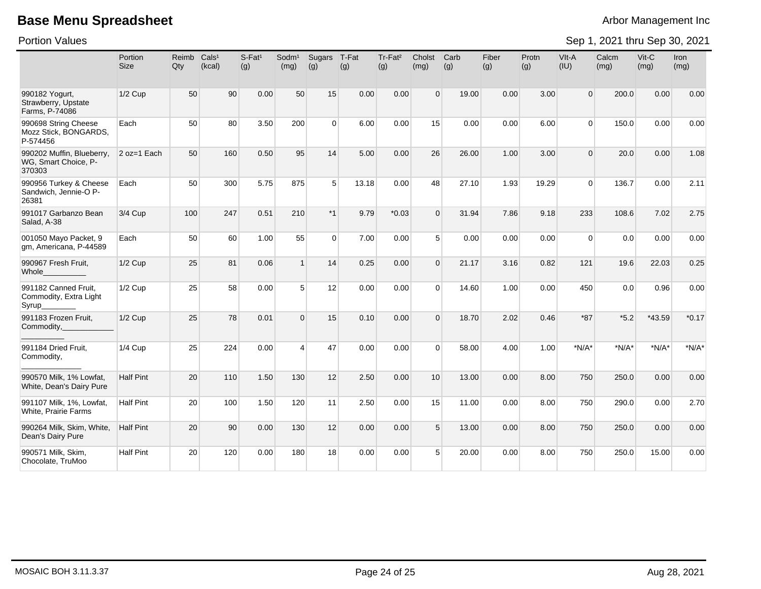Portion Values

|                                                             | Portion<br><b>Size</b> | Reimb<br>Qty | Cals <sup>1</sup><br>(kcal) | S-Fat <sup>1</sup><br>(g) | Sodm <sup>1</sup><br>(mg) | Sugars<br>(g)  | T-Fat<br>(g) | Tr-Fat <sup>2</sup><br>(g) | Cholst<br>(mg) | Carb<br>(g) | Fiber<br>(g) | Protn<br>(g) | VIt-A<br>(IU)  | Calcm<br>(mg) | Vit-C<br>(mg) | Iron<br>(mg) |
|-------------------------------------------------------------|------------------------|--------------|-----------------------------|---------------------------|---------------------------|----------------|--------------|----------------------------|----------------|-------------|--------------|--------------|----------------|---------------|---------------|--------------|
| 990182 Yogurt,<br>Strawberry, Upstate<br>Farms, P-74086     | 1/2 Cup                | 50           | 90                          | 0.00                      | 50                        | 15             | 0.00         | 0.00                       | $\Omega$       | 19.00       | 0.00         | 3.00         | $\Omega$       | 200.0         | 0.00          | 0.00         |
| 990698 String Cheese<br>Mozz Stick, BONGARDS,<br>P-574456   | Each                   | 50           | 80                          | 3.50                      | 200                       | 0              | 6.00         | 0.00                       | 15             | 0.00        | 0.00         | 6.00         | $\overline{0}$ | 150.0         | 0.00          | 0.00         |
| 990202 Muffin, Blueberry,<br>WG, Smart Choice, P-<br>370303 | 2 oz=1 Each            | 50           | 160                         | 0.50                      | 95                        | 14             | 5.00         | 0.00                       | 26             | 26.00       | 1.00         | 3.00         | $\Omega$       | 20.0          | 0.00          | 1.08         |
| 990956 Turkey & Cheese<br>Sandwich, Jennie-O P-<br>26381    | Each                   | 50           | 300                         | 5.75                      | 875                       | 5              | 13.18        | 0.00                       | 48             | 27.10       | 1.93         | 19.29        | $\Omega$       | 136.7         | 0.00          | 2.11         |
| 991017 Garbanzo Bean<br>Salad, A-38                         | 3/4 Cup                | 100          | 247                         | 0.51                      | 210                       | $*1$           | 9.79         | $*0.03$                    | $\Omega$       | 31.94       | 7.86         | 9.18         | 233            | 108.6         | 7.02          | 2.75         |
| 001050 Mayo Packet, 9<br>gm, Americana, P-44589             | Each                   | 50           | 60                          | 1.00                      | 55                        | $\overline{0}$ | 7.00         | 0.00                       | 5 <sup>1</sup> | 0.00        | 0.00         | 0.00         | $\overline{0}$ | 0.0           | 0.00          | 0.00         |
| 990967 Fresh Fruit,<br>Whole                                | 1/2 Cup                | 25           | 81                          | 0.06                      | $\mathbf{1}$              | 14             | 0.25         | 0.00                       | $\Omega$       | 21.17       | 3.16         | 0.82         | 121            | 19.6          | 22.03         | 0.25         |
| 991182 Canned Fruit,<br>Commodity, Extra Light<br>Syrup     | $1/2$ Cup              | 25           | 58                          | 0.00                      | 5 <sup>5</sup>            | 12             | 0.00         | 0.00                       | $\Omega$       | 14.60       | 1.00         | 0.00         | 450            | 0.0           | 0.96          | 0.00         |
| 991183 Frozen Fruit,<br>Commodity,                          | 1/2 Cup                | 25           | 78                          | 0.01                      | $\Omega$                  | 15             | 0.10         | 0.00                       | $\Omega$       | 18.70       | 2.02         | 0.46         | $*87$          | $*5.2$        | *43.59        | $*0.17$      |
| 991184 Dried Fruit,<br>Commodity,                           | $1/4$ Cup              | 25           | 224                         | 0.00                      | $\overline{4}$            | 47             | 0.00         | 0.00                       | $\Omega$       | 58.00       | 4.00         | 1.00         | $*N/A*$        | $*N/A*$       | $*N/A*$       | $*N/A*$      |
| 990570 Milk, 1% Lowfat,<br>White, Dean's Dairy Pure         | <b>Half Pint</b>       | 20           | 110                         | 1.50                      | 130                       | 12             | 2.50         | 0.00                       | 10             | 13.00       | 0.00         | 8.00         | 750            | 250.0         | 0.00          | 0.00         |
| 991107 Milk, 1%, Lowfat,<br>White, Prairie Farms            | <b>Half Pint</b>       | 20           | 100                         | 1.50                      | 120                       | 11             | 2.50         | 0.00                       | 15             | 11.00       | 0.00         | 8.00         | 750            | 290.0         | 0.00          | 2.70         |
| 990264 Milk, Skim, White,<br>Dean's Dairy Pure              | <b>Half Pint</b>       | 20           | 90                          | 0.00                      | 130                       | 12             | 0.00         | 0.00                       | 5 <sup>5</sup> | 13.00       | 0.00         | 8.00         | 750            | 250.0         | 0.00          | 0.00         |
| 990571 Milk, Skim,<br>Chocolate, TruMoo                     | <b>Half Pint</b>       | 20           | 120                         | 0.00                      | 180                       | 18             | 0.00         | 0.00                       | 5              | 20.00       | 0.00         | 8.00         | 750            | 250.0         | 15.00         | 0.00         |